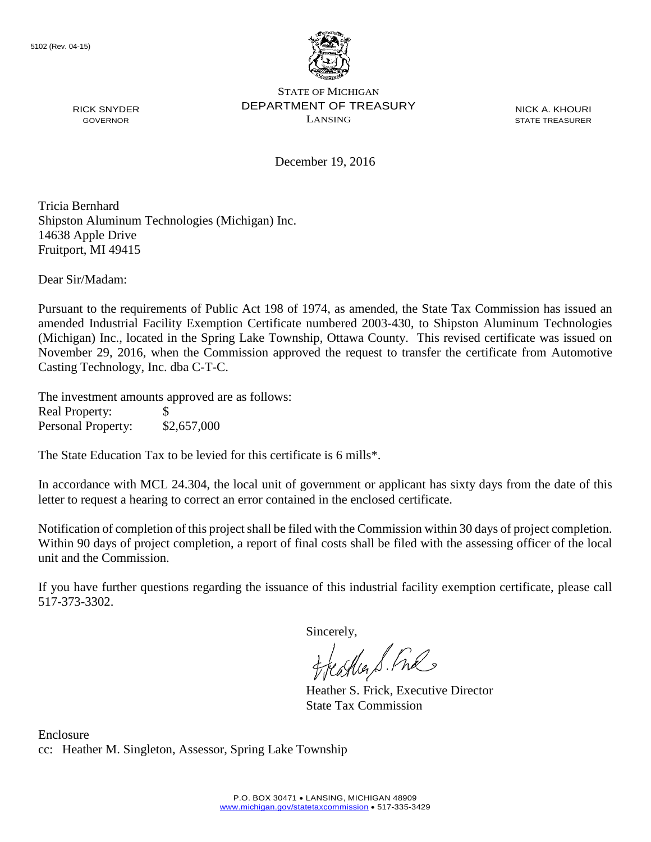

NICK A. KHOURI STATE TREASURER

December 19, 2016

Tricia Bernhard Shipston Aluminum Technologies (Michigan) Inc. 14638 Apple Drive Fruitport, MI 49415

Dear Sir/Madam:

RICK SNYDER GOVERNOR

Pursuant to the requirements of Public Act 198 of 1974, as amended, the State Tax Commission has issued an amended Industrial Facility Exemption Certificate numbered 2003-430, to Shipston Aluminum Technologies (Michigan) Inc., located in the Spring Lake Township, Ottawa County. This revised certificate was issued on November 29, 2016, when the Commission approved the request to transfer the certificate from Automotive Casting Technology, Inc. dba C-T-C.

The investment amounts approved are as follows: Real Property: \$ Personal Property: \$2,657,000

The State Education Tax to be levied for this certificate is 6 mills\*.

In accordance with MCL 24.304, the local unit of government or applicant has sixty days from the date of this letter to request a hearing to correct an error contained in the enclosed certificate.

Notification of completion of this project shall be filed with the Commission within 30 days of project completion. Within 90 days of project completion, a report of final costs shall be filed with the assessing officer of the local unit and the Commission.

If you have further questions regarding the issuance of this industrial facility exemption certificate, please call 517-373-3302.

Sincerely,<br>freathers fine

Heather S. Frick, Executive Director State Tax Commission

Enclosure cc: Heather M. Singleton, Assessor, Spring Lake Township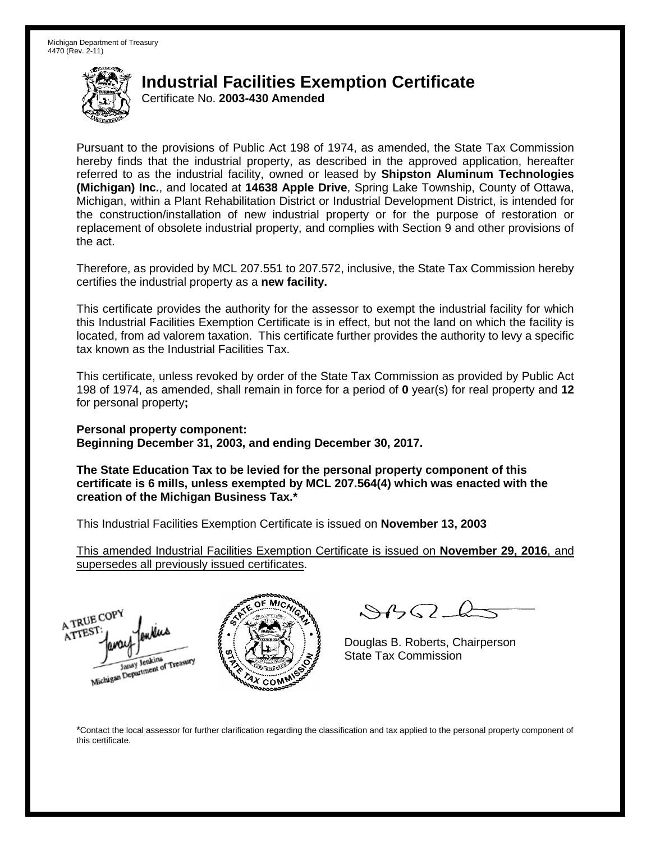Certificate No. **2003-430 Amended**

Pursuant to the provisions of Public Act 198 of 1974, as amended, the State Tax Commission hereby finds that the industrial property, as described in the approved application, hereafter referred to as the industrial facility, owned or leased by **Shipston Aluminum Technologies (Michigan) Inc.**, and located at **14638 Apple Drive**, Spring Lake Township, County of Ottawa, Michigan, within a Plant Rehabilitation District or Industrial Development District, is intended for the construction/installation of new industrial property or for the purpose of restoration or replacement of obsolete industrial property, and complies with Section 9 and other provisions of the act.

Therefore, as provided by MCL 207.551 to 207.572, inclusive, the State Tax Commission hereby certifies the industrial property as a **new facility.**

This certificate provides the authority for the assessor to exempt the industrial facility for which this Industrial Facilities Exemption Certificate is in effect, but not the land on which the facility is located, from ad valorem taxation. This certificate further provides the authority to levy a specific tax known as the Industrial Facilities Tax.

This certificate, unless revoked by order of the State Tax Commission as provided by Public Act 198 of 1974, as amended, shall remain in force for a period of **0** year(s) for real property and **12** for personal property**;**

**Personal property component: Beginning December 31, 2003, and ending December 30, 2017.**

**The State Education Tax to be levied for the personal property component of this certificate is 6 mills, unless exempted by MCL 207.564(4) which was enacted with the creation of the Michigan Business Tax.\***

This Industrial Facilities Exemption Certificate is issued on **November 13, 2003**

This amended Industrial Facilities Exemption Certificate is issued on **November 29, 2016**, and supersedes all previously issued certificates.





 $84562-6$ 

Douglas B. Roberts, Chairperson State Tax Commission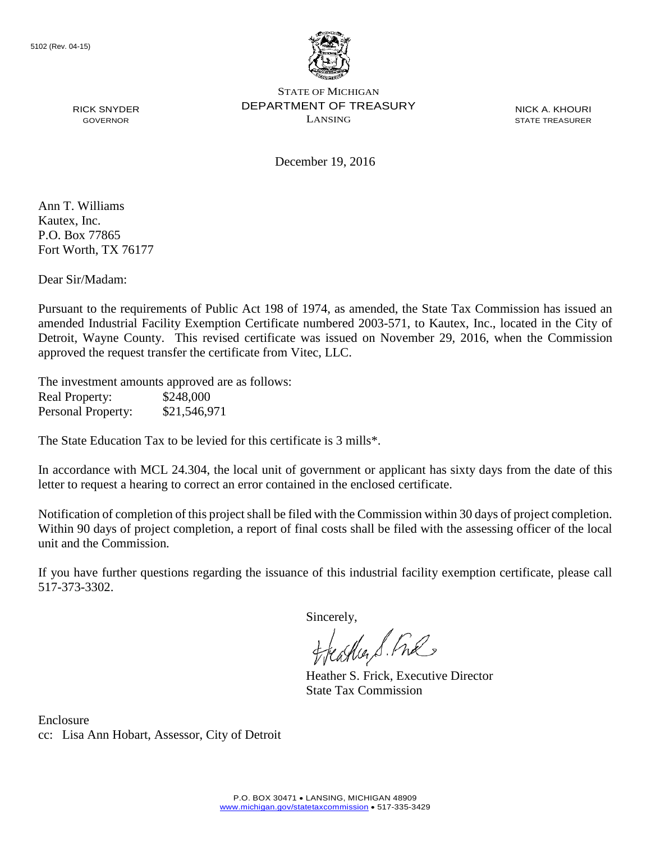

NICK A. KHOURI STATE TREASURER

December 19, 2016

Ann T. Williams Kautex, Inc. P.O. Box 77865 Fort Worth, TX 76177

RICK SNYDER GOVERNOR

Dear Sir/Madam:

Pursuant to the requirements of Public Act 198 of 1974, as amended, the State Tax Commission has issued an amended Industrial Facility Exemption Certificate numbered 2003-571, to Kautex, Inc., located in the City of Detroit, Wayne County. This revised certificate was issued on November 29, 2016, when the Commission approved the request transfer the certificate from Vitec, LLC.

The investment amounts approved are as follows: Real Property: \$248,000 Personal Property: \$21,546,971

The State Education Tax to be levied for this certificate is 3 mills\*.

In accordance with MCL 24.304, the local unit of government or applicant has sixty days from the date of this letter to request a hearing to correct an error contained in the enclosed certificate.

Notification of completion of this project shall be filed with the Commission within 30 days of project completion. Within 90 days of project completion, a report of final costs shall be filed with the assessing officer of the local unit and the Commission.

If you have further questions regarding the issuance of this industrial facility exemption certificate, please call 517-373-3302.

Sincerely,

feastles S. Ful

Heather S. Frick, Executive Director State Tax Commission

Enclosure cc: Lisa Ann Hobart, Assessor, City of Detroit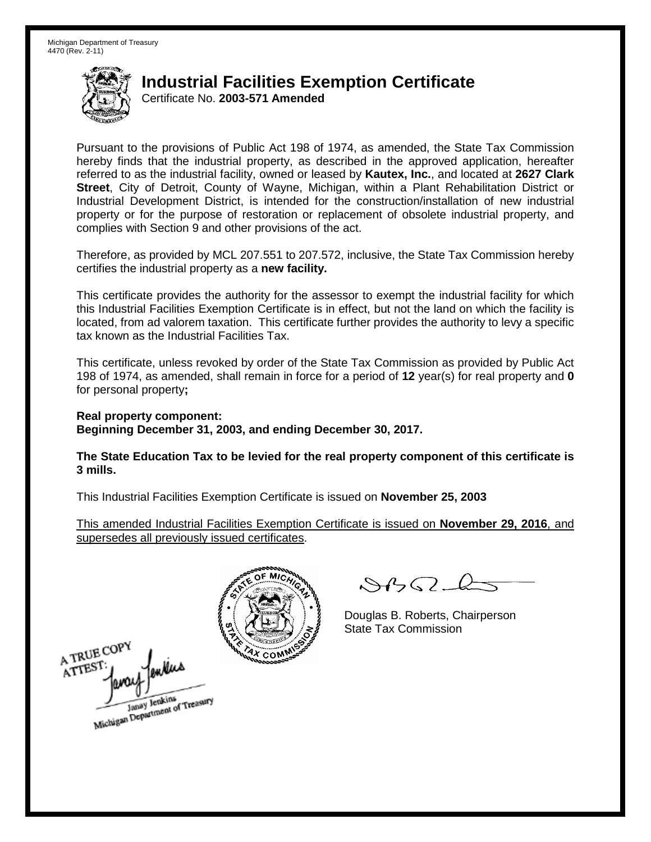Certificate No. **2003-571 Amended**

Pursuant to the provisions of Public Act 198 of 1974, as amended, the State Tax Commission hereby finds that the industrial property, as described in the approved application, hereafter referred to as the industrial facility, owned or leased by **Kautex, Inc.**, and located at **2627 Clark Street**, City of Detroit, County of Wayne, Michigan, within a Plant Rehabilitation District or Industrial Development District, is intended for the construction/installation of new industrial property or for the purpose of restoration or replacement of obsolete industrial property, and complies with Section 9 and other provisions of the act.

Therefore, as provided by MCL 207.551 to 207.572, inclusive, the State Tax Commission hereby certifies the industrial property as a **new facility.**

This certificate provides the authority for the assessor to exempt the industrial facility for which this Industrial Facilities Exemption Certificate is in effect, but not the land on which the facility is located, from ad valorem taxation. This certificate further provides the authority to levy a specific tax known as the Industrial Facilities Tax.

This certificate, unless revoked by order of the State Tax Commission as provided by Public Act 198 of 1974, as amended, shall remain in force for a period of **12** year(s) for real property and **0** for personal property**;**

**Real property component: Beginning December 31, 2003, and ending December 30, 2017.**

**The State Education Tax to be levied for the real property component of this certificate is 3 mills.**

This Industrial Facilities Exemption Certificate is issued on **November 25, 2003**

This amended Industrial Facilities Exemption Certificate is issued on **November 29, 2016**, and supersedes all previously issued certificates.



 $84562 - 6$ 

Douglas B. Roberts, Chairperson State Tax Commission

A TRUE COPY ATTES! Janay Jenkins<br>Michigan Department of Treasury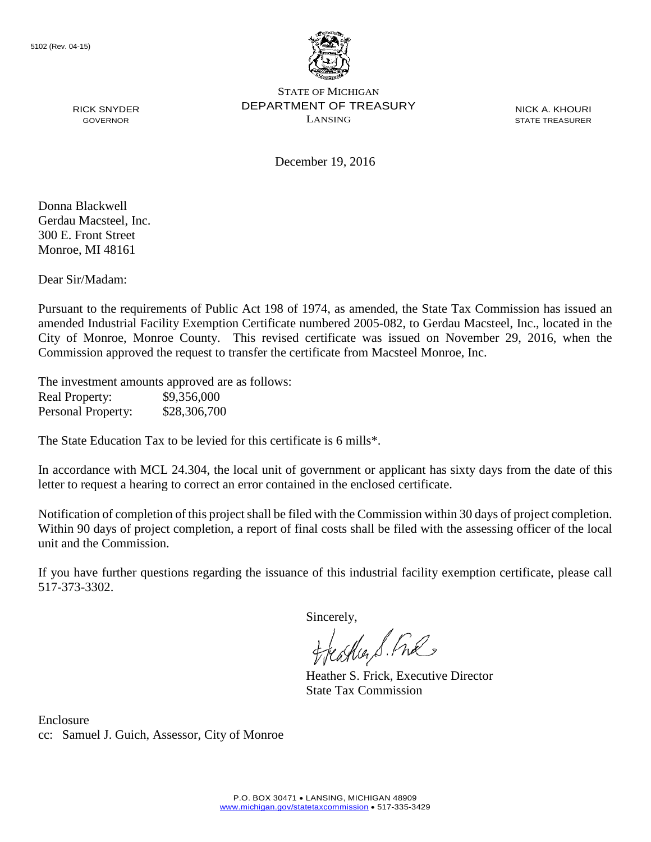

NICK A. KHOURI STATE TREASURER

December 19, 2016

Donna Blackwell Gerdau Macsteel, Inc. 300 E. Front Street Monroe, MI 48161

RICK SNYDER GOVERNOR

Dear Sir/Madam:

Pursuant to the requirements of Public Act 198 of 1974, as amended, the State Tax Commission has issued an amended Industrial Facility Exemption Certificate numbered 2005-082, to Gerdau Macsteel, Inc., located in the City of Monroe, Monroe County. This revised certificate was issued on November 29, 2016, when the Commission approved the request to transfer the certificate from Macsteel Monroe, Inc.

The investment amounts approved are as follows: Real Property: \$9,356,000 Personal Property: \$28,306,700

The State Education Tax to be levied for this certificate is 6 mills\*.

In accordance with MCL 24.304, the local unit of government or applicant has sixty days from the date of this letter to request a hearing to correct an error contained in the enclosed certificate.

Notification of completion of this project shall be filed with the Commission within 30 days of project completion. Within 90 days of project completion, a report of final costs shall be filed with the assessing officer of the local unit and the Commission.

If you have further questions regarding the issuance of this industrial facility exemption certificate, please call 517-373-3302.

Sincerely,

teather S. Ful

Heather S. Frick, Executive Director State Tax Commission

Enclosure cc: Samuel J. Guich, Assessor, City of Monroe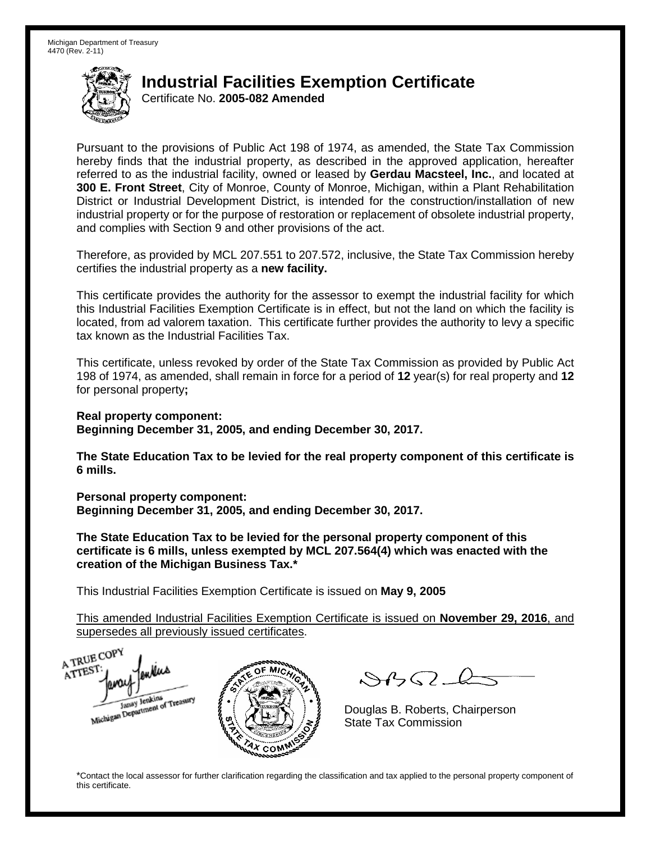Certificate No. **2005-082 Amended**

Pursuant to the provisions of Public Act 198 of 1974, as amended, the State Tax Commission hereby finds that the industrial property, as described in the approved application, hereafter referred to as the industrial facility, owned or leased by **Gerdau Macsteel, Inc.**, and located at **300 E. Front Street**, City of Monroe, County of Monroe, Michigan, within a Plant Rehabilitation District or Industrial Development District, is intended for the construction/installation of new industrial property or for the purpose of restoration or replacement of obsolete industrial property, and complies with Section 9 and other provisions of the act.

Therefore, as provided by MCL 207.551 to 207.572, inclusive, the State Tax Commission hereby certifies the industrial property as a **new facility.**

This certificate provides the authority for the assessor to exempt the industrial facility for which this Industrial Facilities Exemption Certificate is in effect, but not the land on which the facility is located, from ad valorem taxation. This certificate further provides the authority to levy a specific tax known as the Industrial Facilities Tax.

This certificate, unless revoked by order of the State Tax Commission as provided by Public Act 198 of 1974, as amended, shall remain in force for a period of **12** year(s) for real property and **12** for personal property**;**

**Real property component:**

**Beginning December 31, 2005, and ending December 30, 2017.**

**The State Education Tax to be levied for the real property component of this certificate is 6 mills.**

**Personal property component: Beginning December 31, 2005, and ending December 30, 2017.**

**The State Education Tax to be levied for the personal property component of this certificate is 6 mills, unless exempted by MCL 207.564(4) which was enacted with the creation of the Michigan Business Tax.\***

This Industrial Facilities Exemption Certificate is issued on **May 9, 2005**

This amended Industrial Facilities Exemption Certificate is issued on **November 29, 2016**, and supersedes all previously issued certificates.

A TRUE COP A TTEST enders Michigan Department of Treasury COM<sub>.</sub>

 $SBSL$ 

Douglas B. Roberts, Chairperson State Tax Commission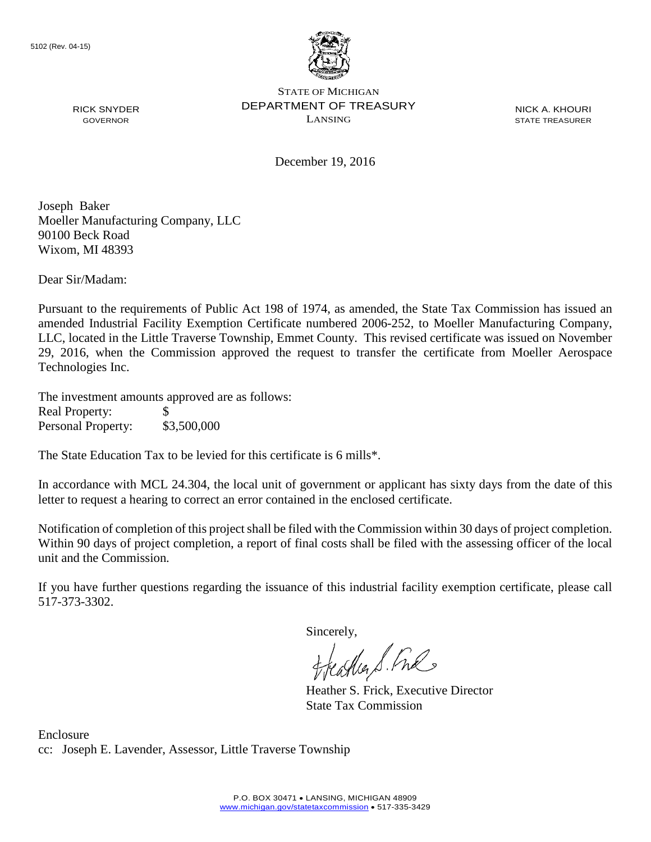

NICK A. KHOURI STATE TREASURER

December 19, 2016

Joseph Baker Moeller Manufacturing Company, LLC 90100 Beck Road Wixom, MI 48393

RICK SNYDER GOVERNOR

Dear Sir/Madam:

Pursuant to the requirements of Public Act 198 of 1974, as amended, the State Tax Commission has issued an amended Industrial Facility Exemption Certificate numbered 2006-252, to Moeller Manufacturing Company, LLC, located in the Little Traverse Township, Emmet County. This revised certificate was issued on November 29, 2016, when the Commission approved the request to transfer the certificate from Moeller Aerospace Technologies Inc.

The investment amounts approved are as follows: Real Property: \$ Personal Property: \$3,500,000

The State Education Tax to be levied for this certificate is 6 mills\*.

In accordance with MCL 24.304, the local unit of government or applicant has sixty days from the date of this letter to request a hearing to correct an error contained in the enclosed certificate.

Notification of completion of this project shall be filed with the Commission within 30 days of project completion. Within 90 days of project completion, a report of final costs shall be filed with the assessing officer of the local unit and the Commission.

If you have further questions regarding the issuance of this industrial facility exemption certificate, please call 517-373-3302.

Sincerely,<br>freathers fine

Heather S. Frick, Executive Director State Tax Commission

Enclosure cc: Joseph E. Lavender, Assessor, Little Traverse Township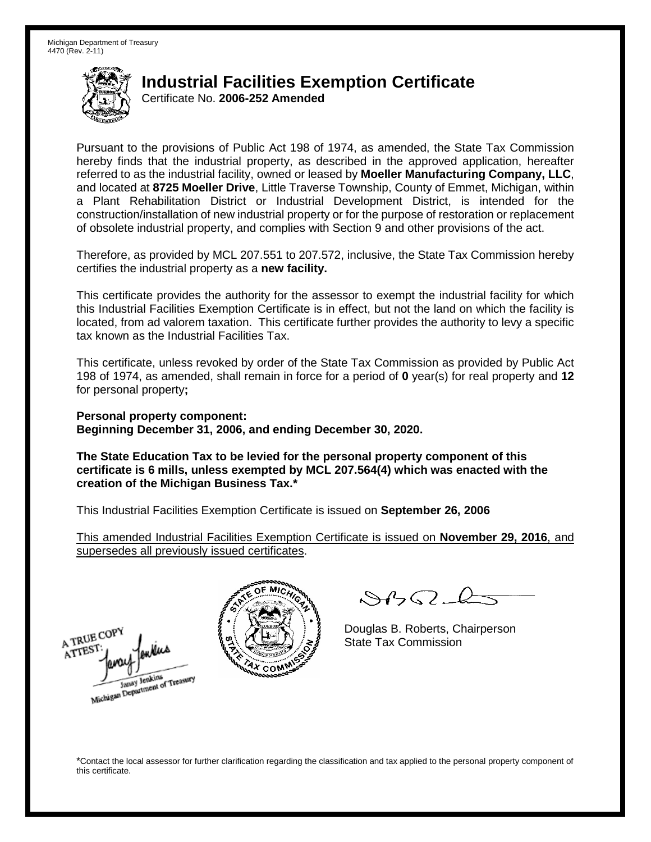Certificate No. **2006-252 Amended**

Pursuant to the provisions of Public Act 198 of 1974, as amended, the State Tax Commission hereby finds that the industrial property, as described in the approved application, hereafter referred to as the industrial facility, owned or leased by **Moeller Manufacturing Company, LLC**, and located at **8725 Moeller Drive**, Little Traverse Township, County of Emmet, Michigan, within a Plant Rehabilitation District or Industrial Development District, is intended for the construction/installation of new industrial property or for the purpose of restoration or replacement of obsolete industrial property, and complies with Section 9 and other provisions of the act.

Therefore, as provided by MCL 207.551 to 207.572, inclusive, the State Tax Commission hereby certifies the industrial property as a **new facility.**

This certificate provides the authority for the assessor to exempt the industrial facility for which this Industrial Facilities Exemption Certificate is in effect, but not the land on which the facility is located, from ad valorem taxation. This certificate further provides the authority to levy a specific tax known as the Industrial Facilities Tax.

This certificate, unless revoked by order of the State Tax Commission as provided by Public Act 198 of 1974, as amended, shall remain in force for a period of **0** year(s) for real property and **12** for personal property**;**

**Personal property component: Beginning December 31, 2006, and ending December 30, 2020.**

**The State Education Tax to be levied for the personal property component of this certificate is 6 mills, unless exempted by MCL 207.564(4) which was enacted with the creation of the Michigan Business Tax.\***

This Industrial Facilities Exemption Certificate is issued on **September 26, 2006**

This amended Industrial Facilities Exemption Certificate is issued on **November 29, 2016**, and supersedes all previously issued certificates.





 $\mathcal{S}$ 

Douglas B. Roberts, Chairperson State Tax Commission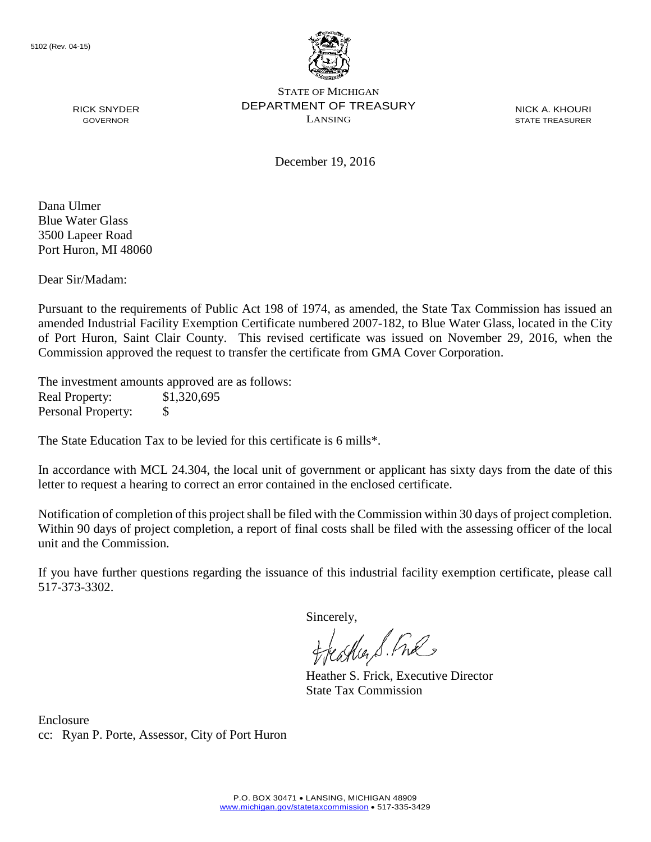

NICK A. KHOURI STATE TREASURER

December 19, 2016

Dana Ulmer Blue Water Glass 3500 Lapeer Road Port Huron, MI 48060

RICK SNYDER GOVERNOR

Dear Sir/Madam:

Pursuant to the requirements of Public Act 198 of 1974, as amended, the State Tax Commission has issued an amended Industrial Facility Exemption Certificate numbered 2007-182, to Blue Water Glass, located in the City of Port Huron, Saint Clair County. This revised certificate was issued on November 29, 2016, when the Commission approved the request to transfer the certificate from GMA Cover Corporation.

The investment amounts approved are as follows: Real Property: \$1,320,695 Personal Property: \$

The State Education Tax to be levied for this certificate is 6 mills\*.

In accordance with MCL 24.304, the local unit of government or applicant has sixty days from the date of this letter to request a hearing to correct an error contained in the enclosed certificate.

Notification of completion of this project shall be filed with the Commission within 30 days of project completion. Within 90 days of project completion, a report of final costs shall be filed with the assessing officer of the local unit and the Commission.

If you have further questions regarding the issuance of this industrial facility exemption certificate, please call 517-373-3302.

Sincerely,

feastles S. Ful

Heather S. Frick, Executive Director State Tax Commission

Enclosure cc: Ryan P. Porte, Assessor, City of Port Huron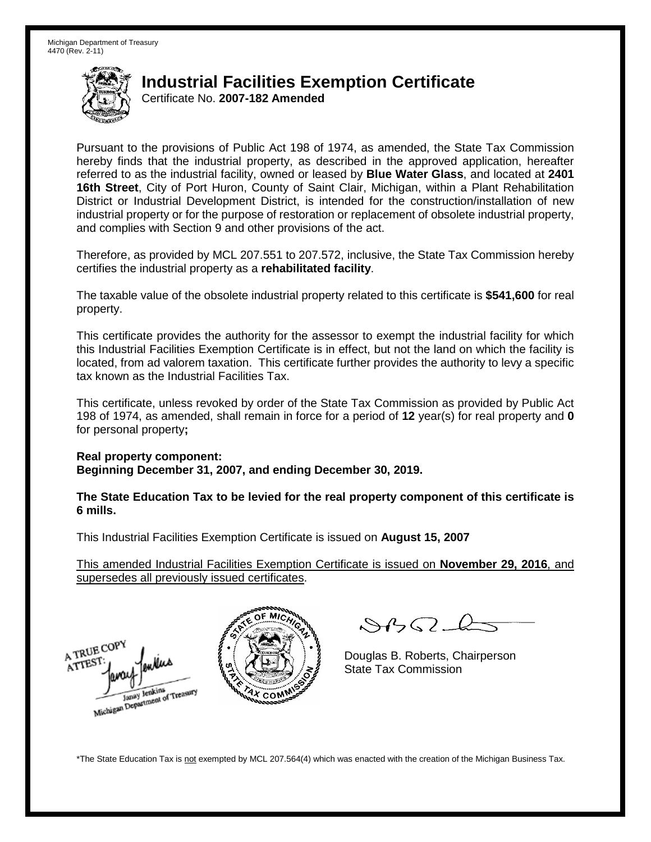Certificate No. **2007-182 Amended**

Pursuant to the provisions of Public Act 198 of 1974, as amended, the State Tax Commission hereby finds that the industrial property, as described in the approved application, hereafter referred to as the industrial facility, owned or leased by **Blue Water Glass**, and located at **2401 16th Street**, City of Port Huron, County of Saint Clair, Michigan, within a Plant Rehabilitation District or Industrial Development District, is intended for the construction/installation of new industrial property or for the purpose of restoration or replacement of obsolete industrial property, and complies with Section 9 and other provisions of the act.

Therefore, as provided by MCL 207.551 to 207.572, inclusive, the State Tax Commission hereby certifies the industrial property as a **rehabilitated facility**.

The taxable value of the obsolete industrial property related to this certificate is **\$541,600** for real property.

This certificate provides the authority for the assessor to exempt the industrial facility for which this Industrial Facilities Exemption Certificate is in effect, but not the land on which the facility is located, from ad valorem taxation. This certificate further provides the authority to levy a specific tax known as the Industrial Facilities Tax.

This certificate, unless revoked by order of the State Tax Commission as provided by Public Act 198 of 1974, as amended, shall remain in force for a period of **12** year(s) for real property and **0** for personal property**;**

#### **Real property component:**

**Beginning December 31, 2007, and ending December 30, 2019.**

**The State Education Tax to be levied for the real property component of this certificate is 6 mills.**

This Industrial Facilities Exemption Certificate is issued on **August 15, 2007**

This amended Industrial Facilities Exemption Certificate is issued on **November 29, 2016**, and supersedes all previously issued certificates.





 $\mathcal{S}4\mathcal{G}$ 

Douglas B. Roberts, Chairperson State Tax Commission

\*The State Education Tax is not exempted by MCL 207.564(4) which was enacted with the creation of the Michigan Business Tax.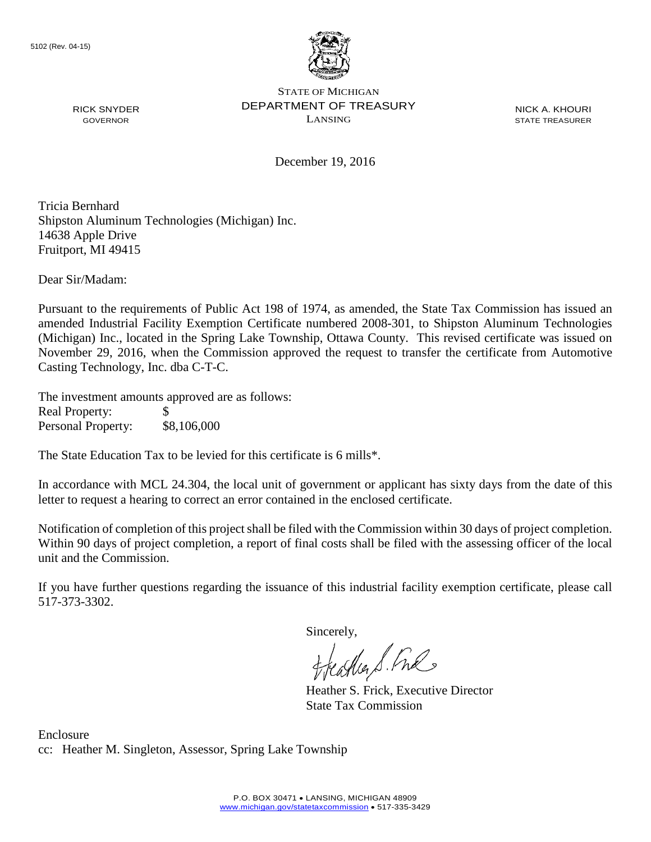

NICK A. KHOURI STATE TREASURER

December 19, 2016

Tricia Bernhard Shipston Aluminum Technologies (Michigan) Inc. 14638 Apple Drive Fruitport, MI 49415

Dear Sir/Madam:

RICK SNYDER GOVERNOR

Pursuant to the requirements of Public Act 198 of 1974, as amended, the State Tax Commission has issued an amended Industrial Facility Exemption Certificate numbered 2008-301, to Shipston Aluminum Technologies (Michigan) Inc., located in the Spring Lake Township, Ottawa County. This revised certificate was issued on November 29, 2016, when the Commission approved the request to transfer the certificate from Automotive Casting Technology, Inc. dba C-T-C.

The investment amounts approved are as follows: Real Property: \$ Personal Property: \$8,106,000

The State Education Tax to be levied for this certificate is 6 mills\*.

In accordance with MCL 24.304, the local unit of government or applicant has sixty days from the date of this letter to request a hearing to correct an error contained in the enclosed certificate.

Notification of completion of this project shall be filed with the Commission within 30 days of project completion. Within 90 days of project completion, a report of final costs shall be filed with the assessing officer of the local unit and the Commission.

If you have further questions regarding the issuance of this industrial facility exemption certificate, please call 517-373-3302.

Sincerely,<br>freathers fine

Heather S. Frick, Executive Director State Tax Commission

Enclosure cc: Heather M. Singleton, Assessor, Spring Lake Township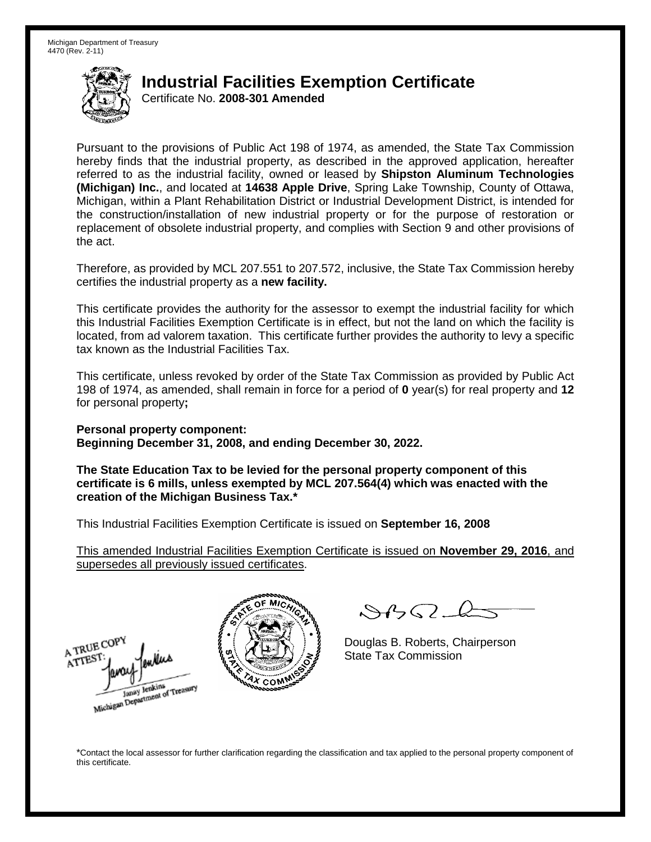Certificate No. **2008-301 Amended**

Pursuant to the provisions of Public Act 198 of 1974, as amended, the State Tax Commission hereby finds that the industrial property, as described in the approved application, hereafter referred to as the industrial facility, owned or leased by **Shipston Aluminum Technologies (Michigan) Inc.**, and located at **14638 Apple Drive**, Spring Lake Township, County of Ottawa, Michigan, within a Plant Rehabilitation District or Industrial Development District, is intended for the construction/installation of new industrial property or for the purpose of restoration or replacement of obsolete industrial property, and complies with Section 9 and other provisions of the act.

Therefore, as provided by MCL 207.551 to 207.572, inclusive, the State Tax Commission hereby certifies the industrial property as a **new facility.**

This certificate provides the authority for the assessor to exempt the industrial facility for which this Industrial Facilities Exemption Certificate is in effect, but not the land on which the facility is located, from ad valorem taxation. This certificate further provides the authority to levy a specific tax known as the Industrial Facilities Tax.

This certificate, unless revoked by order of the State Tax Commission as provided by Public Act 198 of 1974, as amended, shall remain in force for a period of **0** year(s) for real property and **12** for personal property**;**

**Personal property component: Beginning December 31, 2008, and ending December 30, 2022.**

**The State Education Tax to be levied for the personal property component of this certificate is 6 mills, unless exempted by MCL 207.564(4) which was enacted with the creation of the Michigan Business Tax.\***

This Industrial Facilities Exemption Certificate is issued on **September 16, 2008**

This amended Industrial Facilities Exemption Certificate is issued on **November 29, 2016**, and supersedes all previously issued certificates.





 $84562-6$ 

Douglas B. Roberts, Chairperson State Tax Commission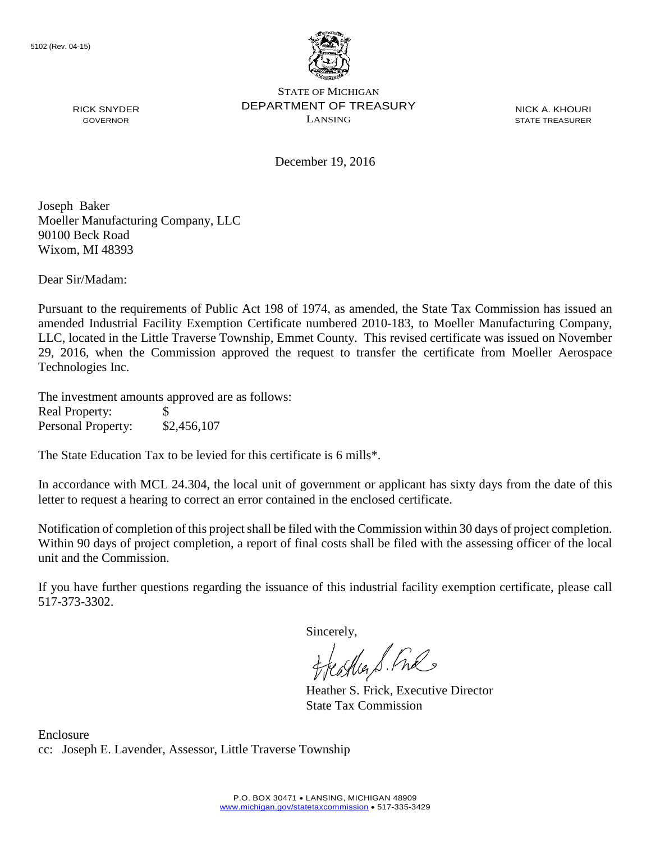

NICK A. KHOURI STATE TREASURER

December 19, 2016

Joseph Baker Moeller Manufacturing Company, LLC 90100 Beck Road Wixom, MI 48393

RICK SNYDER GOVERNOR

Dear Sir/Madam:

Pursuant to the requirements of Public Act 198 of 1974, as amended, the State Tax Commission has issued an amended Industrial Facility Exemption Certificate numbered 2010-183, to Moeller Manufacturing Company, LLC, located in the Little Traverse Township, Emmet County. This revised certificate was issued on November 29, 2016, when the Commission approved the request to transfer the certificate from Moeller Aerospace Technologies Inc.

The investment amounts approved are as follows: Real Property: \$ Personal Property: \$2,456,107

The State Education Tax to be levied for this certificate is 6 mills\*.

In accordance with MCL 24.304, the local unit of government or applicant has sixty days from the date of this letter to request a hearing to correct an error contained in the enclosed certificate.

Notification of completion of this project shall be filed with the Commission within 30 days of project completion. Within 90 days of project completion, a report of final costs shall be filed with the assessing officer of the local unit and the Commission.

If you have further questions regarding the issuance of this industrial facility exemption certificate, please call 517-373-3302.

Sincerely,<br>freathers fine

Heather S. Frick, Executive Director State Tax Commission

Enclosure cc: Joseph E. Lavender, Assessor, Little Traverse Township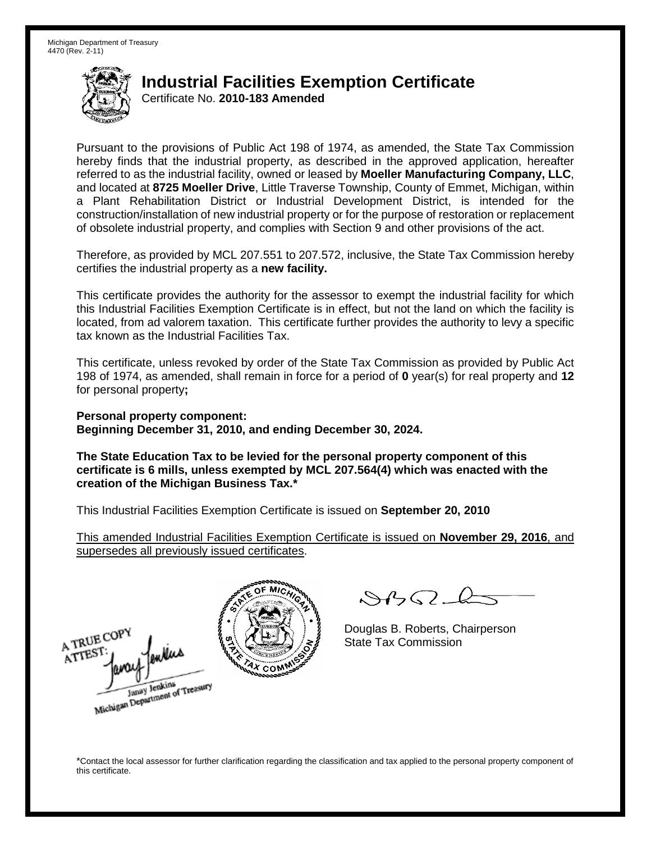Certificate No. **2010-183 Amended**

Pursuant to the provisions of Public Act 198 of 1974, as amended, the State Tax Commission hereby finds that the industrial property, as described in the approved application, hereafter referred to as the industrial facility, owned or leased by **Moeller Manufacturing Company, LLC**, and located at **8725 Moeller Drive**, Little Traverse Township, County of Emmet, Michigan, within a Plant Rehabilitation District or Industrial Development District, is intended for the construction/installation of new industrial property or for the purpose of restoration or replacement of obsolete industrial property, and complies with Section 9 and other provisions of the act.

Therefore, as provided by MCL 207.551 to 207.572, inclusive, the State Tax Commission hereby certifies the industrial property as a **new facility.**

This certificate provides the authority for the assessor to exempt the industrial facility for which this Industrial Facilities Exemption Certificate is in effect, but not the land on which the facility is located, from ad valorem taxation. This certificate further provides the authority to levy a specific tax known as the Industrial Facilities Tax.

This certificate, unless revoked by order of the State Tax Commission as provided by Public Act 198 of 1974, as amended, shall remain in force for a period of **0** year(s) for real property and **12** for personal property**;**

**Personal property component: Beginning December 31, 2010, and ending December 30, 2024.**

**The State Education Tax to be levied for the personal property component of this certificate is 6 mills, unless exempted by MCL 207.564(4) which was enacted with the creation of the Michigan Business Tax.\***

This Industrial Facilities Exemption Certificate is issued on **September 20, 2010**

This amended Industrial Facilities Exemption Certificate is issued on **November 29, 2016**, and supersedes all previously issued certificates.

A TRUE COPY ATTEST wkw Janay Jenkins<br>Michigan Department of Treasury



 $\mathcal{A} \cap \mathcal{A} \cap \mathcal{A}$ 

Douglas B. Roberts, Chairperson State Tax Commission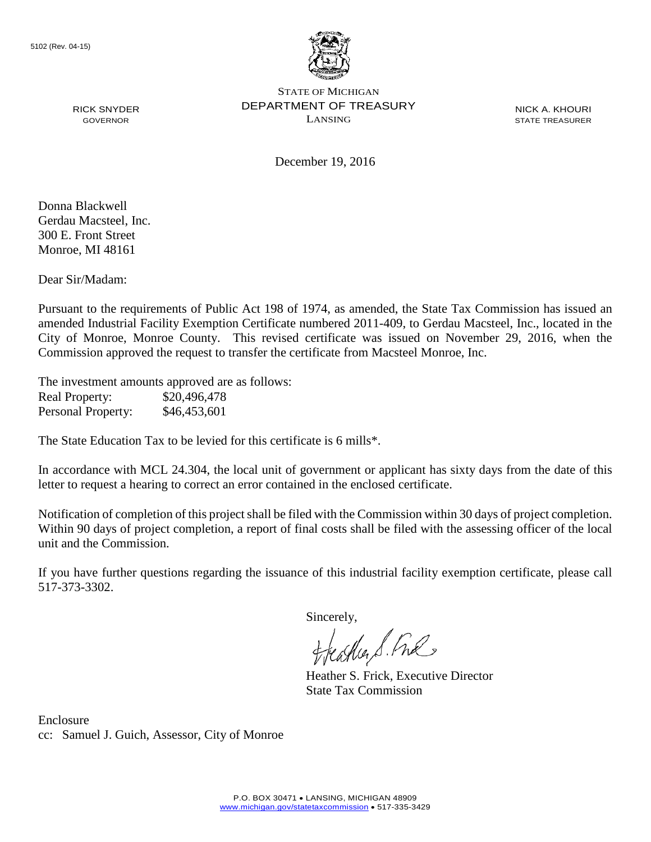

NICK A. KHOURI STATE TREASURER

December 19, 2016

Donna Blackwell Gerdau Macsteel, Inc. 300 E. Front Street Monroe, MI 48161

RICK SNYDER GOVERNOR

Dear Sir/Madam:

Pursuant to the requirements of Public Act 198 of 1974, as amended, the State Tax Commission has issued an amended Industrial Facility Exemption Certificate numbered 2011-409, to Gerdau Macsteel, Inc., located in the City of Monroe, Monroe County. This revised certificate was issued on November 29, 2016, when the Commission approved the request to transfer the certificate from Macsteel Monroe, Inc.

The investment amounts approved are as follows: Real Property: \$20,496,478 Personal Property: \$46,453,601

The State Education Tax to be levied for this certificate is 6 mills\*.

In accordance with MCL 24.304, the local unit of government or applicant has sixty days from the date of this letter to request a hearing to correct an error contained in the enclosed certificate.

Notification of completion of this project shall be filed with the Commission within 30 days of project completion. Within 90 days of project completion, a report of final costs shall be filed with the assessing officer of the local unit and the Commission.

If you have further questions regarding the issuance of this industrial facility exemption certificate, please call 517-373-3302.

Sincerely,

teather S. Ful

Heather S. Frick, Executive Director State Tax Commission

Enclosure cc: Samuel J. Guich, Assessor, City of Monroe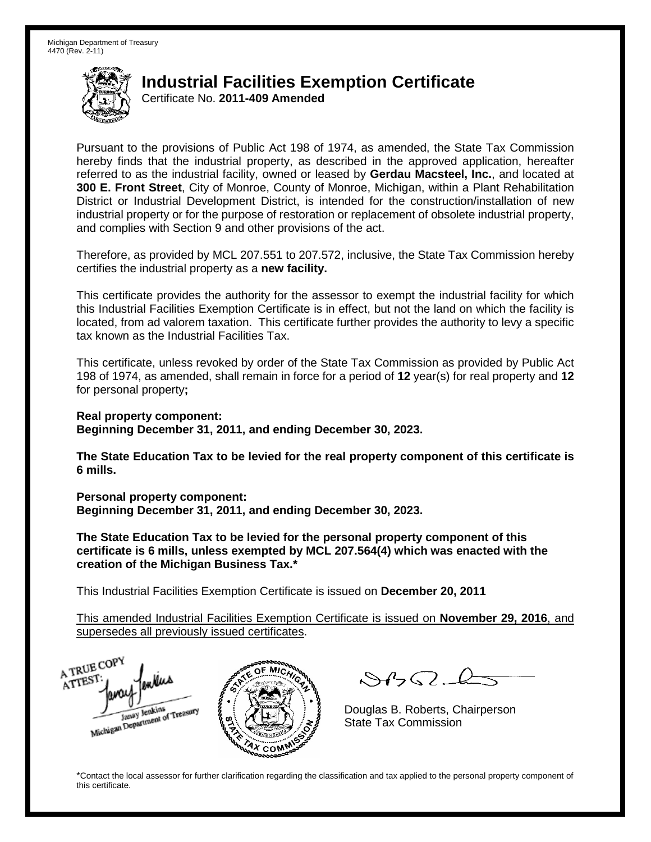Certificate No. **2011-409 Amended**

Pursuant to the provisions of Public Act 198 of 1974, as amended, the State Tax Commission hereby finds that the industrial property, as described in the approved application, hereafter referred to as the industrial facility, owned or leased by **Gerdau Macsteel, Inc.**, and located at **300 E. Front Street**, City of Monroe, County of Monroe, Michigan, within a Plant Rehabilitation District or Industrial Development District, is intended for the construction/installation of new industrial property or for the purpose of restoration or replacement of obsolete industrial property, and complies with Section 9 and other provisions of the act.

Therefore, as provided by MCL 207.551 to 207.572, inclusive, the State Tax Commission hereby certifies the industrial property as a **new facility.**

This certificate provides the authority for the assessor to exempt the industrial facility for which this Industrial Facilities Exemption Certificate is in effect, but not the land on which the facility is located, from ad valorem taxation. This certificate further provides the authority to levy a specific tax known as the Industrial Facilities Tax.

This certificate, unless revoked by order of the State Tax Commission as provided by Public Act 198 of 1974, as amended, shall remain in force for a period of **12** year(s) for real property and **12** for personal property**;**

**Real property component:**

**Beginning December 31, 2011, and ending December 30, 2023.**

**The State Education Tax to be levied for the real property component of this certificate is 6 mills.**

**Personal property component: Beginning December 31, 2011, and ending December 30, 2023.**

**The State Education Tax to be levied for the personal property component of this certificate is 6 mills, unless exempted by MCL 207.564(4) which was enacted with the creation of the Michigan Business Tax.\***

This Industrial Facilities Exemption Certificate is issued on **December 20, 2011**

This amended Industrial Facilities Exemption Certificate is issued on **November 29, 2016**, and supersedes all previously issued certificates.

A TRUE COP ATTEST Janay Jenkins<br>Michigan Department of Treasury COM<sub>.</sub>

 $SBSL$ 

Douglas B. Roberts, Chairperson State Tax Commission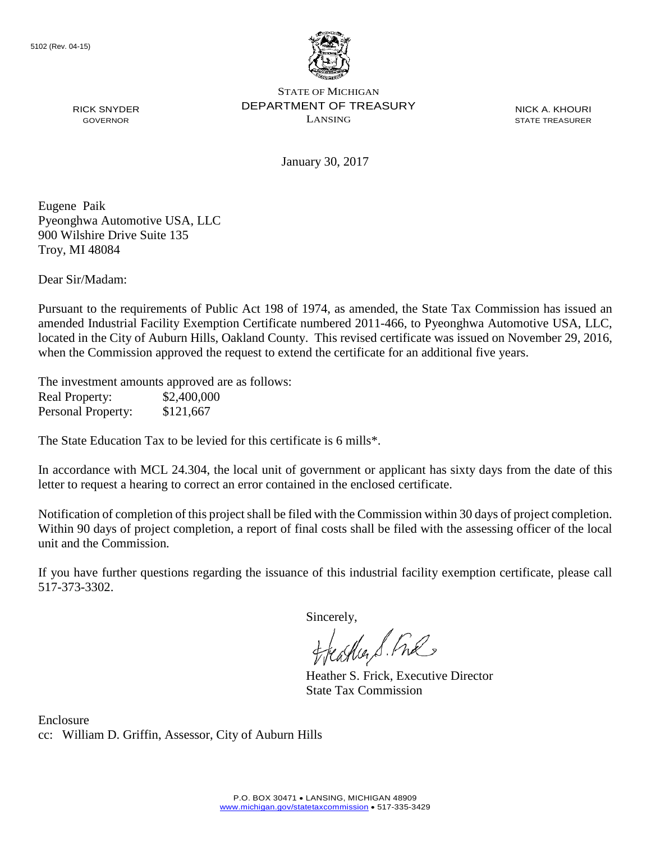

NICK A. KHOURI STATE TREASURER

January 30, 2017

Eugene Paik Pyeonghwa Automotive USA, LLC 900 Wilshire Drive Suite 135 Troy, MI 48084

RICK SNYDER GOVERNOR

Dear Sir/Madam:

Pursuant to the requirements of Public Act 198 of 1974, as amended, the State Tax Commission has issued an amended Industrial Facility Exemption Certificate numbered 2011-466, to Pyeonghwa Automotive USA, LLC, located in the City of Auburn Hills, Oakland County. This revised certificate was issued on November 29, 2016, when the Commission approved the request to extend the certificate for an additional five years.

The investment amounts approved are as follows: Real Property: \$2,400,000 Personal Property: \$121,667

The State Education Tax to be levied for this certificate is 6 mills\*.

In accordance with MCL 24.304, the local unit of government or applicant has sixty days from the date of this letter to request a hearing to correct an error contained in the enclosed certificate.

Notification of completion of this project shall be filed with the Commission within 30 days of project completion. Within 90 days of project completion, a report of final costs shall be filed with the assessing officer of the local unit and the Commission.

If you have further questions regarding the issuance of this industrial facility exemption certificate, please call 517-373-3302.

Sincerely,

teagher & Fral

Heather S. Frick, Executive Director State Tax Commission

Enclosure cc: William D. Griffin, Assessor, City of Auburn Hills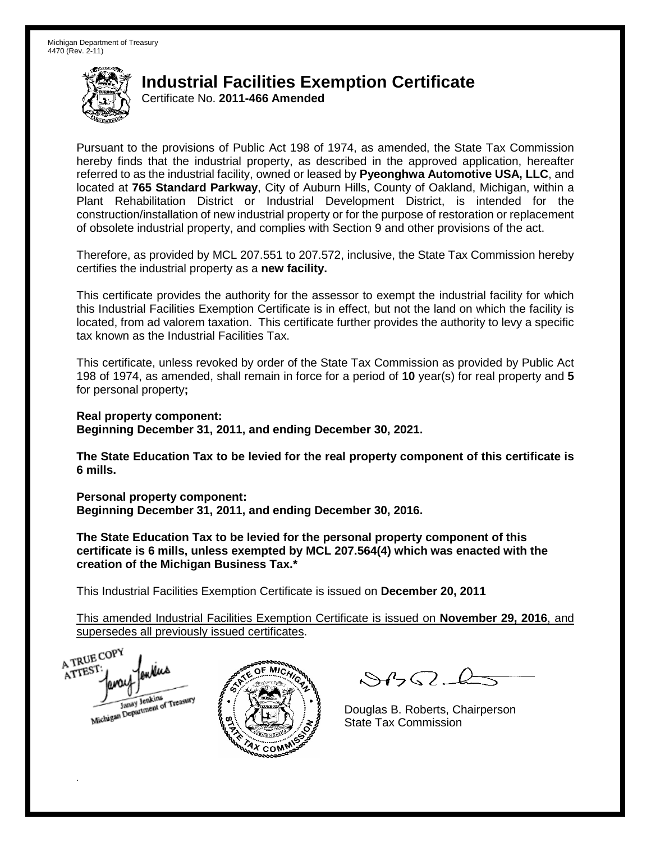Certificate No. **2011-466 Amended**

Pursuant to the provisions of Public Act 198 of 1974, as amended, the State Tax Commission hereby finds that the industrial property, as described in the approved application, hereafter referred to as the industrial facility, owned or leased by **Pyeonghwa Automotive USA, LLC**, and located at **765 Standard Parkway**, City of Auburn Hills, County of Oakland, Michigan, within a Plant Rehabilitation District or Industrial Development District, is intended for the construction/installation of new industrial property or for the purpose of restoration or replacement of obsolete industrial property, and complies with Section 9 and other provisions of the act.

Therefore, as provided by MCL 207.551 to 207.572, inclusive, the State Tax Commission hereby certifies the industrial property as a **new facility.**

This certificate provides the authority for the assessor to exempt the industrial facility for which this Industrial Facilities Exemption Certificate is in effect, but not the land on which the facility is located, from ad valorem taxation. This certificate further provides the authority to levy a specific tax known as the Industrial Facilities Tax.

This certificate, unless revoked by order of the State Tax Commission as provided by Public Act 198 of 1974, as amended, shall remain in force for a period of **10** year(s) for real property and **5** for personal property**;** 

**Real property component:**

**Beginning December 31, 2011, and ending December 30, 2021.** 

**The State Education Tax to be levied for the real property component of this certificate is 6 mills.**

**Personal property component: Beginning December 31, 2011, and ending December 30, 2016.** 

**The State Education Tax to be levied for the personal property component of this certificate is 6 mills, unless exempted by MCL 207.564(4) which was enacted with the creation of the Michigan Business Tax.\***

This Industrial Facilities Exemption Certificate is issued on **December 20, 2011**

This amended Industrial Facilities Exemption Certificate is issued on **November 29, 2016**, and supersedes all previously issued certificates.

A TRUE COP ATTEST enters

.



 $8450 - 6$ 

Douglas B. Roberts, Chairperson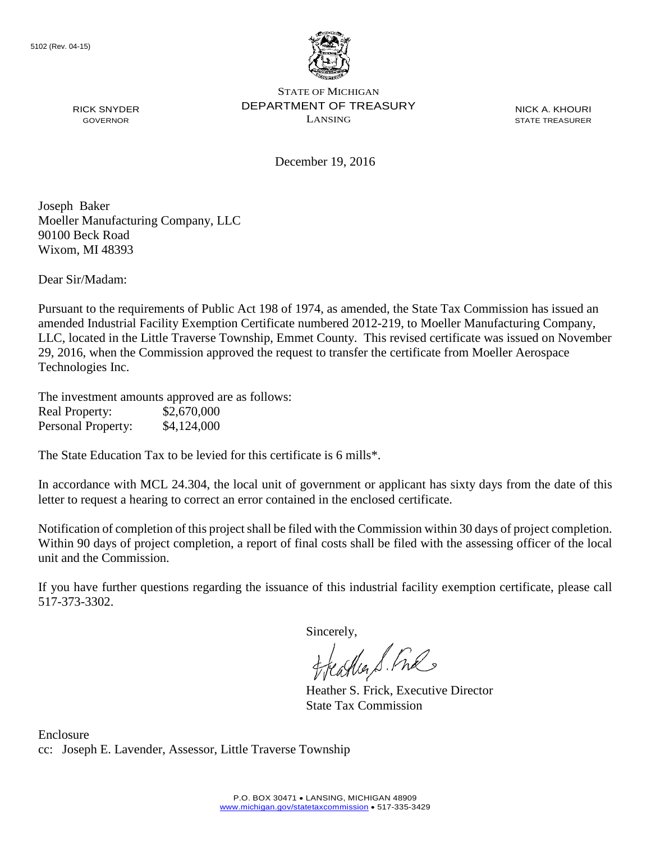

NICK A. KHOURI STATE TREASURER

December 19, 2016

Joseph Baker Moeller Manufacturing Company, LLC 90100 Beck Road Wixom, MI 48393

RICK SNYDER GOVERNOR

Dear Sir/Madam:

Pursuant to the requirements of Public Act 198 of 1974, as amended, the State Tax Commission has issued an amended Industrial Facility Exemption Certificate numbered 2012-219, to Moeller Manufacturing Company, LLC, located in the Little Traverse Township, Emmet County. This revised certificate was issued on November 29, 2016, when the Commission approved the request to transfer the certificate from Moeller Aerospace Technologies Inc.

The investment amounts approved are as follows: Real Property: \$2,670,000 Personal Property: \$4,124,000

The State Education Tax to be levied for this certificate is 6 mills\*.

In accordance with MCL 24.304, the local unit of government or applicant has sixty days from the date of this letter to request a hearing to correct an error contained in the enclosed certificate.

Notification of completion of this project shall be filed with the Commission within 30 days of project completion. Within 90 days of project completion, a report of final costs shall be filed with the assessing officer of the local unit and the Commission.

If you have further questions regarding the issuance of this industrial facility exemption certificate, please call 517-373-3302.

Sincerely,<br>freathers fine

Heather S. Frick, Executive Director State Tax Commission

Enclosure cc: Joseph E. Lavender, Assessor, Little Traverse Township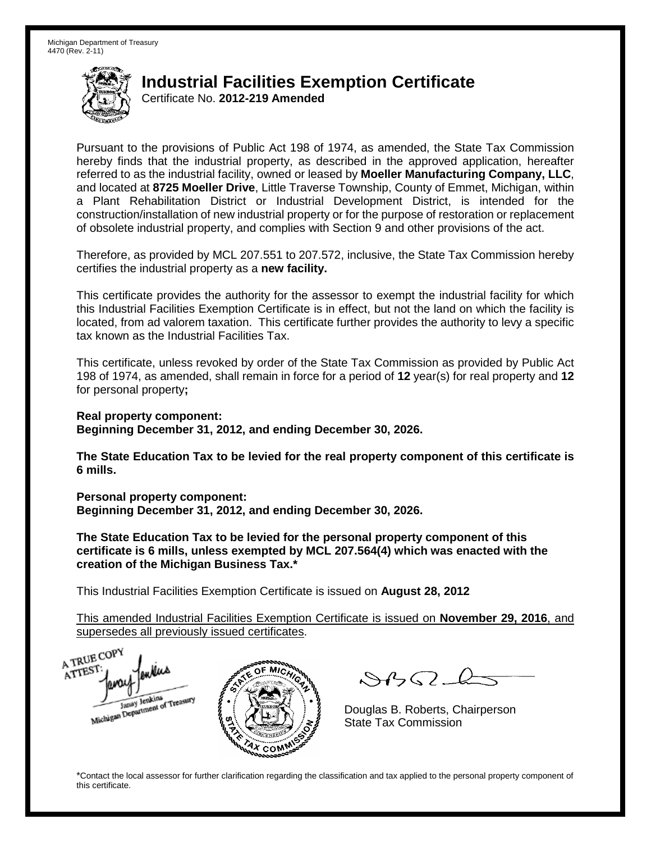Certificate No. **2012-219 Amended**

Pursuant to the provisions of Public Act 198 of 1974, as amended, the State Tax Commission hereby finds that the industrial property, as described in the approved application, hereafter referred to as the industrial facility, owned or leased by **Moeller Manufacturing Company, LLC**, and located at **8725 Moeller Drive**, Little Traverse Township, County of Emmet, Michigan, within a Plant Rehabilitation District or Industrial Development District, is intended for the construction/installation of new industrial property or for the purpose of restoration or replacement of obsolete industrial property, and complies with Section 9 and other provisions of the act.

Therefore, as provided by MCL 207.551 to 207.572, inclusive, the State Tax Commission hereby certifies the industrial property as a **new facility.**

This certificate provides the authority for the assessor to exempt the industrial facility for which this Industrial Facilities Exemption Certificate is in effect, but not the land on which the facility is located, from ad valorem taxation. This certificate further provides the authority to levy a specific tax known as the Industrial Facilities Tax.

This certificate, unless revoked by order of the State Tax Commission as provided by Public Act 198 of 1974, as amended, shall remain in force for a period of **12** year(s) for real property and **12** for personal property**;**

**Real property component:**

**Beginning December 31, 2012, and ending December 30, 2026.**

**The State Education Tax to be levied for the real property component of this certificate is 6 mills.**

**Personal property component: Beginning December 31, 2012, and ending December 30, 2026.**

**The State Education Tax to be levied for the personal property component of this certificate is 6 mills, unless exempted by MCL 207.564(4) which was enacted with the creation of the Michigan Business Tax.\***

This Industrial Facilities Exemption Certificate is issued on **August 28, 2012**

This amended Industrial Facilities Exemption Certificate is issued on **November 29, 2016**, and supersedes all previously issued certificates.

A TRUE COP A TTEST enders Michigan Department of Treasury COM<sub>.</sub>

 $SBSL$ 

Douglas B. Roberts, Chairperson State Tax Commission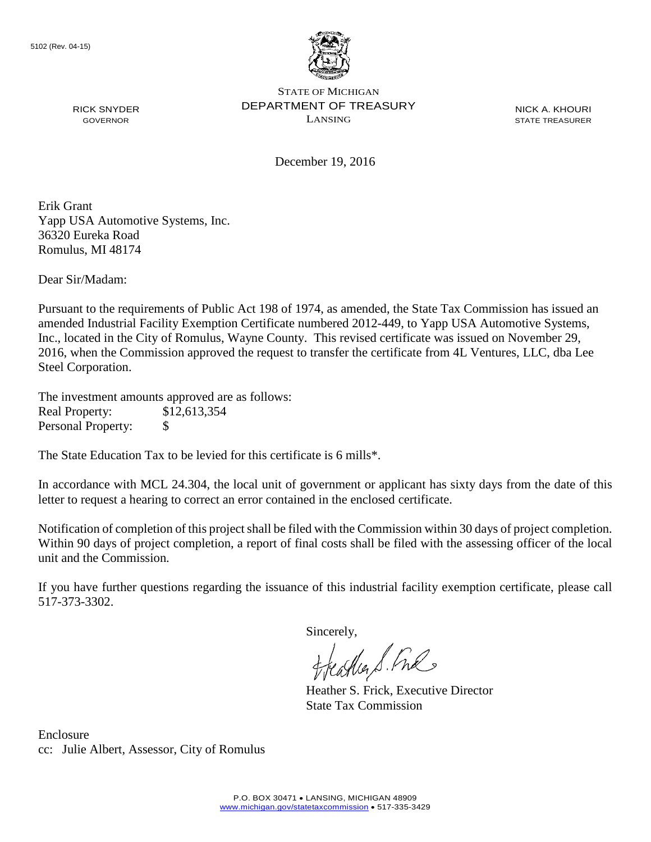

NICK A. KHOURI STATE TREASURER

December 19, 2016

Erik Grant Yapp USA Automotive Systems, Inc. 36320 Eureka Road Romulus, MI 48174

RICK SNYDER GOVERNOR

Dear Sir/Madam:

Pursuant to the requirements of Public Act 198 of 1974, as amended, the State Tax Commission has issued an amended Industrial Facility Exemption Certificate numbered 2012-449, to Yapp USA Automotive Systems, Inc., located in the City of Romulus, Wayne County. This revised certificate was issued on November 29, 2016, when the Commission approved the request to transfer the certificate from 4L Ventures, LLC, dba Lee Steel Corporation.

The investment amounts approved are as follows: Real Property: \$12,613,354 Personal Property: \$

The State Education Tax to be levied for this certificate is 6 mills\*.

In accordance with MCL 24.304, the local unit of government or applicant has sixty days from the date of this letter to request a hearing to correct an error contained in the enclosed certificate.

Notification of completion of this project shall be filed with the Commission within 30 days of project completion. Within 90 days of project completion, a report of final costs shall be filed with the assessing officer of the local unit and the Commission.

If you have further questions regarding the issuance of this industrial facility exemption certificate, please call 517-373-3302.

Sincerely,

asker S. Ful

Heather S. Frick, Executive Director State Tax Commission

Enclosure cc: Julie Albert, Assessor, City of Romulus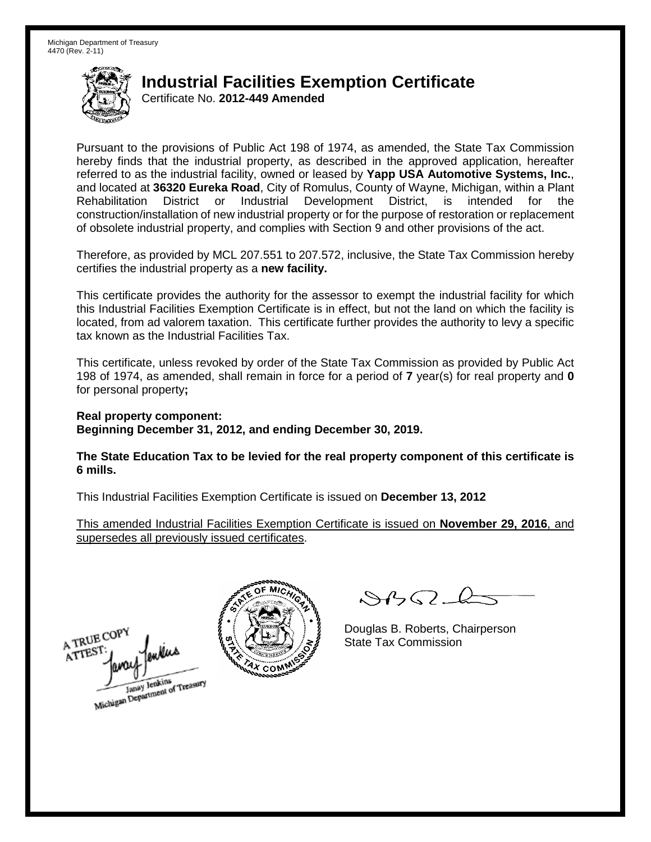Certificate No. **2012-449 Amended**

Pursuant to the provisions of Public Act 198 of 1974, as amended, the State Tax Commission hereby finds that the industrial property, as described in the approved application, hereafter referred to as the industrial facility, owned or leased by **Yapp USA Automotive Systems, Inc.**, and located at **36320 Eureka Road**, City of Romulus, County of Wayne, Michigan, within a Plant Rehabilitation District or Industrial Development District, is intended for the construction/installation of new industrial property or for the purpose of restoration or replacement of obsolete industrial property, and complies with Section 9 and other provisions of the act.

Therefore, as provided by MCL 207.551 to 207.572, inclusive, the State Tax Commission hereby certifies the industrial property as a **new facility.**

This certificate provides the authority for the assessor to exempt the industrial facility for which this Industrial Facilities Exemption Certificate is in effect, but not the land on which the facility is located, from ad valorem taxation. This certificate further provides the authority to levy a specific tax known as the Industrial Facilities Tax.

This certificate, unless revoked by order of the State Tax Commission as provided by Public Act 198 of 1974, as amended, shall remain in force for a period of **7** year(s) for real property and **0** for personal property**;**

**Real property component: Beginning December 31, 2012, and ending December 30, 2019.**

**The State Education Tax to be levied for the real property component of this certificate is 6 mills.**

This Industrial Facilities Exemption Certificate is issued on **December 13, 2012**

This amended Industrial Facilities Exemption Certificate is issued on **November 29, 2016**, and supersedes all previously issued certificates.

A TRUE COPY ATTEST Janay Jenkins<br>Michigan Department of Treasury



 $\mathcal{S}$ 

Douglas B. Roberts, Chairperson State Tax Commission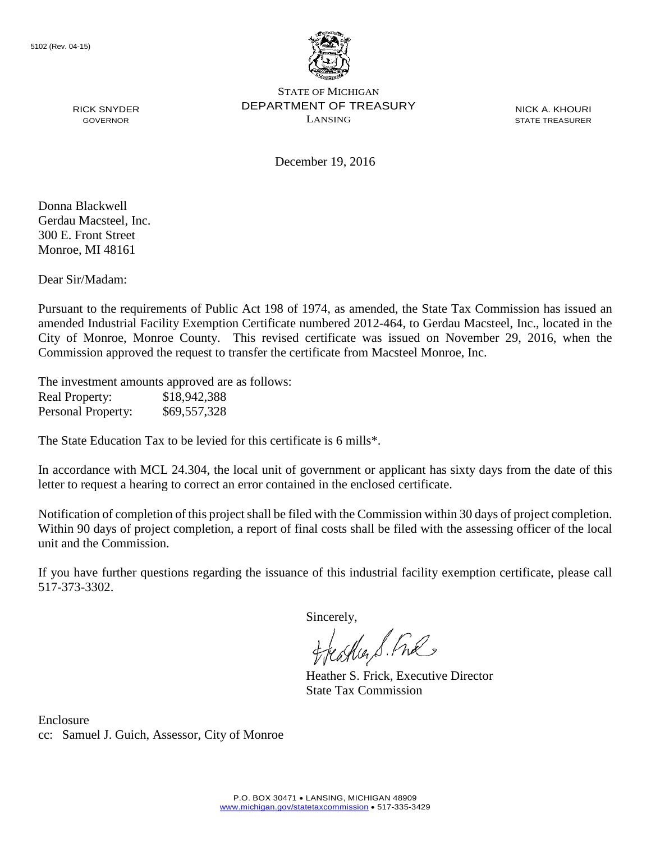

NICK A. KHOURI STATE TREASURER

December 19, 2016

Donna Blackwell Gerdau Macsteel, Inc. 300 E. Front Street Monroe, MI 48161

RICK SNYDER GOVERNOR

Dear Sir/Madam:

Pursuant to the requirements of Public Act 198 of 1974, as amended, the State Tax Commission has issued an amended Industrial Facility Exemption Certificate numbered 2012-464, to Gerdau Macsteel, Inc., located in the City of Monroe, Monroe County. This revised certificate was issued on November 29, 2016, when the Commission approved the request to transfer the certificate from Macsteel Monroe, Inc.

The investment amounts approved are as follows: Real Property: \$18,942,388 Personal Property: \$69,557,328

The State Education Tax to be levied for this certificate is 6 mills\*.

In accordance with MCL 24.304, the local unit of government or applicant has sixty days from the date of this letter to request a hearing to correct an error contained in the enclosed certificate.

Notification of completion of this project shall be filed with the Commission within 30 days of project completion. Within 90 days of project completion, a report of final costs shall be filed with the assessing officer of the local unit and the Commission.

If you have further questions regarding the issuance of this industrial facility exemption certificate, please call 517-373-3302.

Sincerely,

feastles S. Ful

Heather S. Frick, Executive Director State Tax Commission

Enclosure cc: Samuel J. Guich, Assessor, City of Monroe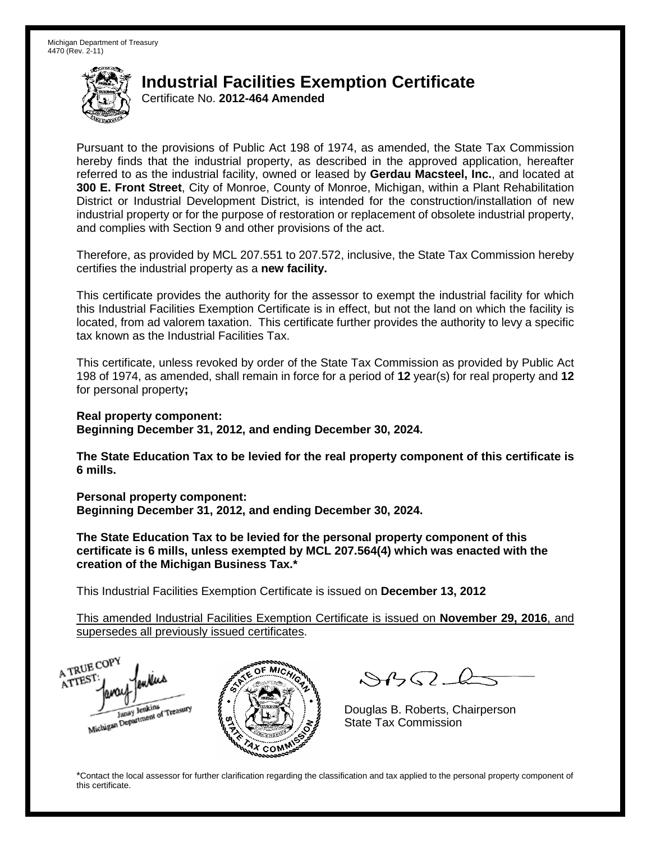Certificate No. **2012-464 Amended**

Pursuant to the provisions of Public Act 198 of 1974, as amended, the State Tax Commission hereby finds that the industrial property, as described in the approved application, hereafter referred to as the industrial facility, owned or leased by **Gerdau Macsteel, Inc.**, and located at **300 E. Front Street**, City of Monroe, County of Monroe, Michigan, within a Plant Rehabilitation District or Industrial Development District, is intended for the construction/installation of new industrial property or for the purpose of restoration or replacement of obsolete industrial property, and complies with Section 9 and other provisions of the act.

Therefore, as provided by MCL 207.551 to 207.572, inclusive, the State Tax Commission hereby certifies the industrial property as a **new facility.**

This certificate provides the authority for the assessor to exempt the industrial facility for which this Industrial Facilities Exemption Certificate is in effect, but not the land on which the facility is located, from ad valorem taxation. This certificate further provides the authority to levy a specific tax known as the Industrial Facilities Tax.

This certificate, unless revoked by order of the State Tax Commission as provided by Public Act 198 of 1974, as amended, shall remain in force for a period of **12** year(s) for real property and **12** for personal property**;**

**Real property component:**

**Beginning December 31, 2012, and ending December 30, 2024.**

**The State Education Tax to be levied for the real property component of this certificate is 6 mills.**

**Personal property component: Beginning December 31, 2012, and ending December 30, 2024.**

**The State Education Tax to be levied for the personal property component of this certificate is 6 mills, unless exempted by MCL 207.564(4) which was enacted with the creation of the Michigan Business Tax.\***

This Industrial Facilities Exemption Certificate is issued on **December 13, 2012**

COM<sub>.</sub>

This amended Industrial Facilities Exemption Certificate is issued on **November 29, 2016**, and supersedes all previously issued certificates.

A TRUE COPY ATTEST Janay Jenkins<br>Michigan Department of Treasury

 $SBSL$ 

Douglas B. Roberts, Chairperson State Tax Commission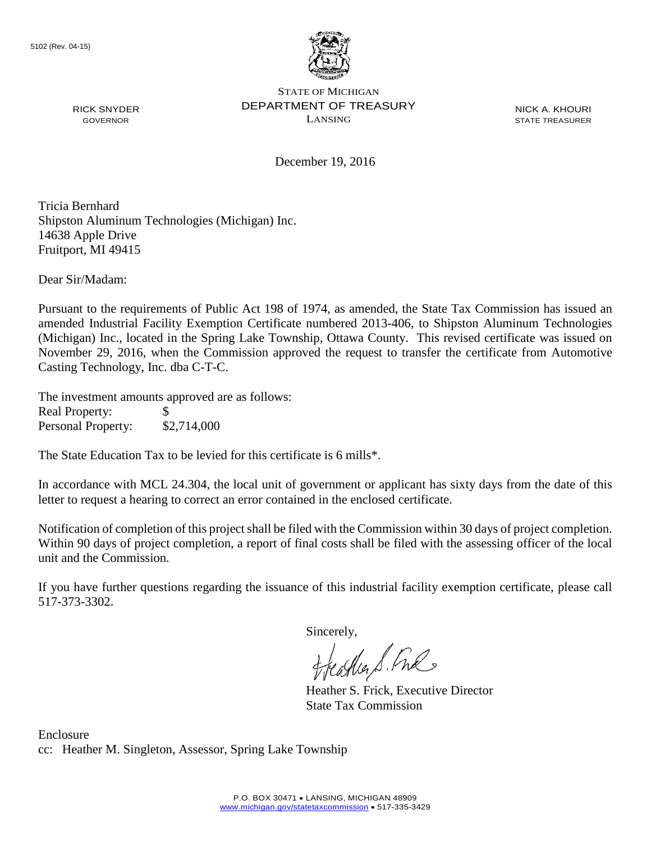

NICK A. KHOURI STATE TREASURER

December 19, 2016

Tricia Bernhard Shipston Aluminum Technologies (Michigan) Inc. 14638 Apple Drive Fruitport, MI 49415

Dear Sir/Madam:

RICK SNYDER GOVERNOR

Pursuant to the requirements of Public Act 198 of 1974, as amended, the State Tax Commission has issued an amended Industrial Facility Exemption Certificate numbered 2013-406, to Shipston Aluminum Technologies (Michigan) Inc., located in the Spring Lake Township, Ottawa County. This revised certificate was issued on November 29, 2016, when the Commission approved the request to transfer the certificate from Automotive Casting Technology, Inc. dba C-T-C.

The investment amounts approved are as follows: Real Property: \$ Personal Property: \$2,714,000

The State Education Tax to be levied for this certificate is 6 mills\*.

In accordance with MCL 24.304, the local unit of government or applicant has sixty days from the date of this letter to request a hearing to correct an error contained in the enclosed certificate.

Notification of completion of this project shall be filed with the Commission within 30 days of project completion. Within 90 days of project completion, a report of final costs shall be filed with the assessing officer of the local unit and the Commission.

If you have further questions regarding the issuance of this industrial facility exemption certificate, please call 517-373-3302.

Sincerely,<br>freathers fine

Heather S. Frick, Executive Director State Tax Commission

Enclosure cc: Heather M. Singleton, Assessor, Spring Lake Township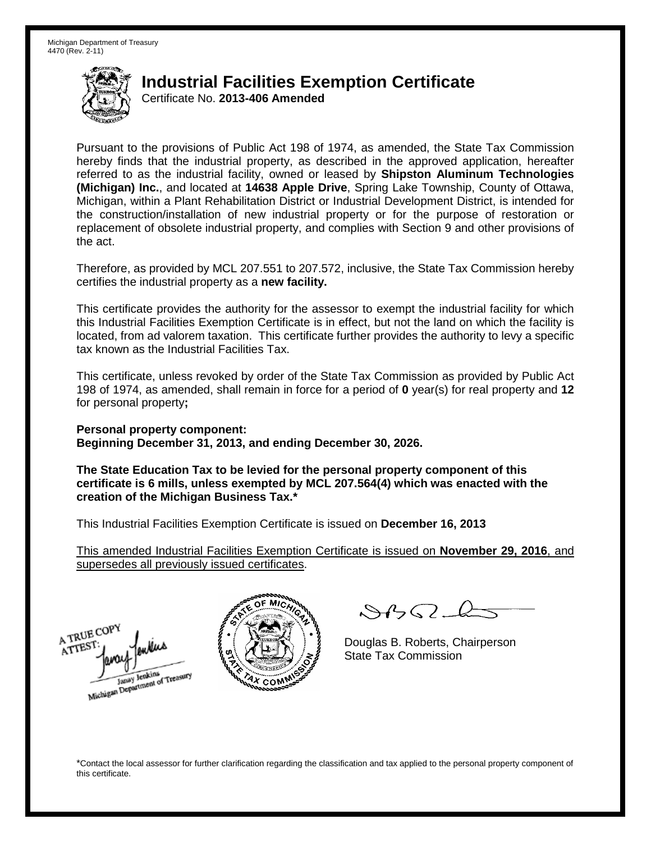Certificate No. **2013-406 Amended**

Pursuant to the provisions of Public Act 198 of 1974, as amended, the State Tax Commission hereby finds that the industrial property, as described in the approved application, hereafter referred to as the industrial facility, owned or leased by **Shipston Aluminum Technologies (Michigan) Inc.**, and located at **14638 Apple Drive**, Spring Lake Township, County of Ottawa, Michigan, within a Plant Rehabilitation District or Industrial Development District, is intended for the construction/installation of new industrial property or for the purpose of restoration or replacement of obsolete industrial property, and complies with Section 9 and other provisions of the act.

Therefore, as provided by MCL 207.551 to 207.572, inclusive, the State Tax Commission hereby certifies the industrial property as a **new facility.**

This certificate provides the authority for the assessor to exempt the industrial facility for which this Industrial Facilities Exemption Certificate is in effect, but not the land on which the facility is located, from ad valorem taxation. This certificate further provides the authority to levy a specific tax known as the Industrial Facilities Tax.

This certificate, unless revoked by order of the State Tax Commission as provided by Public Act 198 of 1974, as amended, shall remain in force for a period of **0** year(s) for real property and **12** for personal property**;**

**Personal property component: Beginning December 31, 2013, and ending December 30, 2026.**

**The State Education Tax to be levied for the personal property component of this certificate is 6 mills, unless exempted by MCL 207.564(4) which was enacted with the creation of the Michigan Business Tax.\***

This Industrial Facilities Exemption Certificate is issued on **December 16, 2013**

This amended Industrial Facilities Exemption Certificate is issued on **November 29, 2016**, and supersedes all previously issued certificates.





 $84562-6$ 

Douglas B. Roberts, Chairperson State Tax Commission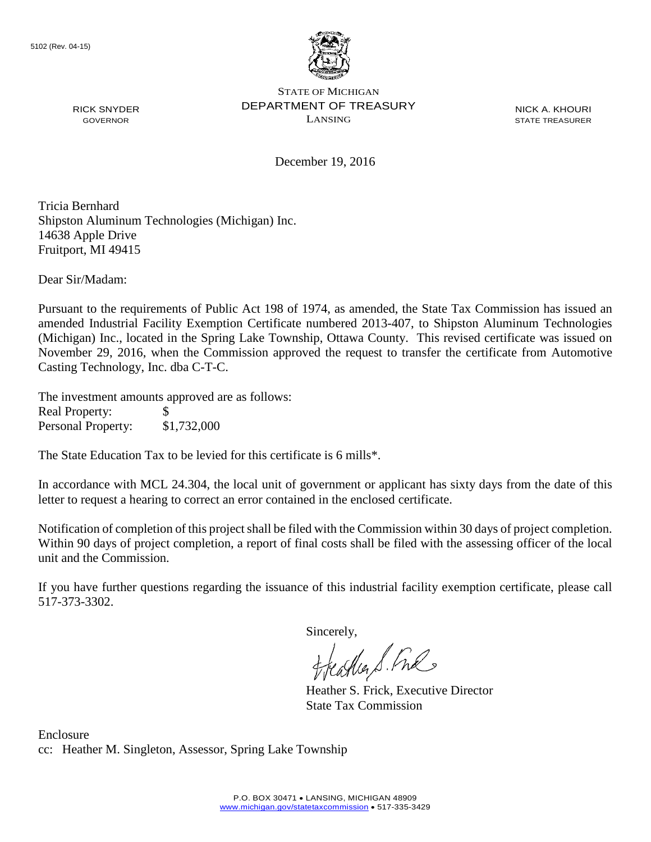

NICK A. KHOURI STATE TREASURER

December 19, 2016

Tricia Bernhard Shipston Aluminum Technologies (Michigan) Inc. 14638 Apple Drive Fruitport, MI 49415

Dear Sir/Madam:

RICK SNYDER GOVERNOR

Pursuant to the requirements of Public Act 198 of 1974, as amended, the State Tax Commission has issued an amended Industrial Facility Exemption Certificate numbered 2013-407, to Shipston Aluminum Technologies (Michigan) Inc., located in the Spring Lake Township, Ottawa County. This revised certificate was issued on November 29, 2016, when the Commission approved the request to transfer the certificate from Automotive Casting Technology, Inc. dba C-T-C.

The investment amounts approved are as follows: Real Property: \$ Personal Property: \$1,732,000

The State Education Tax to be levied for this certificate is 6 mills\*.

In accordance with MCL 24.304, the local unit of government or applicant has sixty days from the date of this letter to request a hearing to correct an error contained in the enclosed certificate.

Notification of completion of this project shall be filed with the Commission within 30 days of project completion. Within 90 days of project completion, a report of final costs shall be filed with the assessing officer of the local unit and the Commission.

If you have further questions regarding the issuance of this industrial facility exemption certificate, please call 517-373-3302.

Sincerely,<br>freathers fine

Heather S. Frick, Executive Director State Tax Commission

Enclosure cc: Heather M. Singleton, Assessor, Spring Lake Township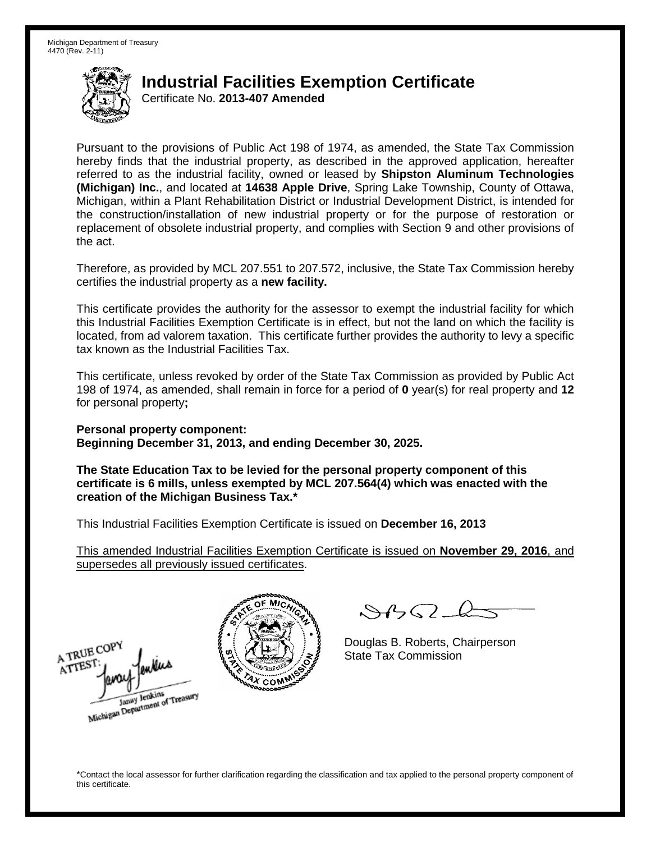Certificate No. **2013-407 Amended**

Pursuant to the provisions of Public Act 198 of 1974, as amended, the State Tax Commission hereby finds that the industrial property, as described in the approved application, hereafter referred to as the industrial facility, owned or leased by **Shipston Aluminum Technologies (Michigan) Inc.**, and located at **14638 Apple Drive**, Spring Lake Township, County of Ottawa, Michigan, within a Plant Rehabilitation District or Industrial Development District, is intended for the construction/installation of new industrial property or for the purpose of restoration or replacement of obsolete industrial property, and complies with Section 9 and other provisions of the act.

Therefore, as provided by MCL 207.551 to 207.572, inclusive, the State Tax Commission hereby certifies the industrial property as a **new facility.**

This certificate provides the authority for the assessor to exempt the industrial facility for which this Industrial Facilities Exemption Certificate is in effect, but not the land on which the facility is located, from ad valorem taxation. This certificate further provides the authority to levy a specific tax known as the Industrial Facilities Tax.

This certificate, unless revoked by order of the State Tax Commission as provided by Public Act 198 of 1974, as amended, shall remain in force for a period of **0** year(s) for real property and **12** for personal property**;**

**Personal property component: Beginning December 31, 2013, and ending December 30, 2025.**

**The State Education Tax to be levied for the personal property component of this certificate is 6 mills, unless exempted by MCL 207.564(4) which was enacted with the creation of the Michigan Business Tax.\***

This Industrial Facilities Exemption Certificate is issued on **December 16, 2013**

This amended Industrial Facilities Exemption Certificate is issued on **November 29, 2016**, and supersedes all previously issued certificates.

A TRUE COPY ATTEST Janay Jenkins<br>Michigan Department of Treasury



 $84562-6$ 

Douglas B. Roberts, Chairperson State Tax Commission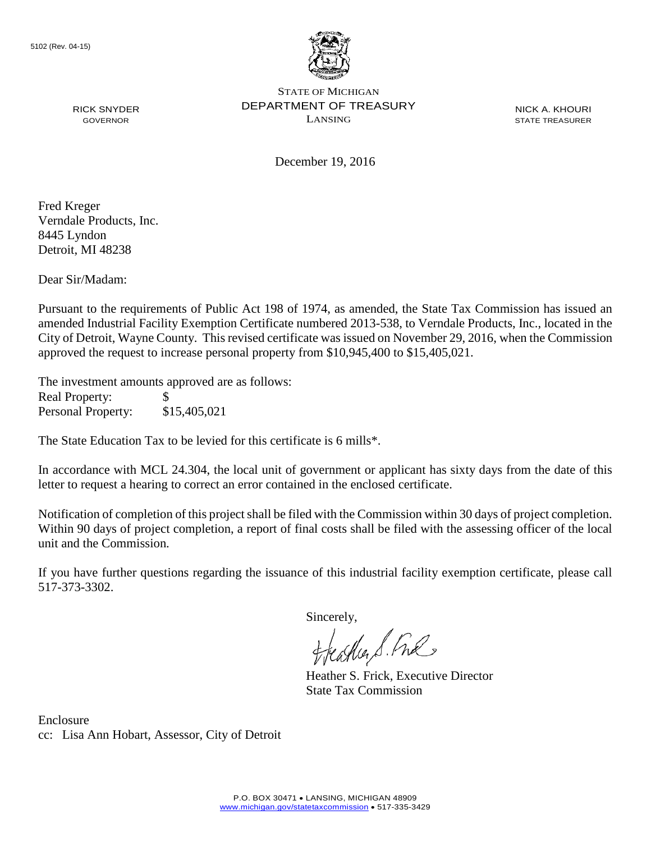

NICK A. KHOURI STATE TREASURER

December 19, 2016

Fred Kreger Verndale Products, Inc. 8445 Lyndon Detroit, MI 48238

RICK SNYDER GOVERNOR

Dear Sir/Madam:

Pursuant to the requirements of Public Act 198 of 1974, as amended, the State Tax Commission has issued an amended Industrial Facility Exemption Certificate numbered 2013-538, to Verndale Products, Inc., located in the City of Detroit, Wayne County. This revised certificate was issued on November 29, 2016, when the Commission approved the request to increase personal property from \$10,945,400 to \$15,405,021.

The investment amounts approved are as follows: Real Property: \$ Personal Property: \$15,405,021

The State Education Tax to be levied for this certificate is 6 mills\*.

In accordance with MCL 24.304, the local unit of government or applicant has sixty days from the date of this letter to request a hearing to correct an error contained in the enclosed certificate.

Notification of completion of this project shall be filed with the Commission within 30 days of project completion. Within 90 days of project completion, a report of final costs shall be filed with the assessing officer of the local unit and the Commission.

If you have further questions regarding the issuance of this industrial facility exemption certificate, please call 517-373-3302.

Sincerely,

teacher S. Ful

Heather S. Frick, Executive Director State Tax Commission

Enclosure cc: Lisa Ann Hobart, Assessor, City of Detroit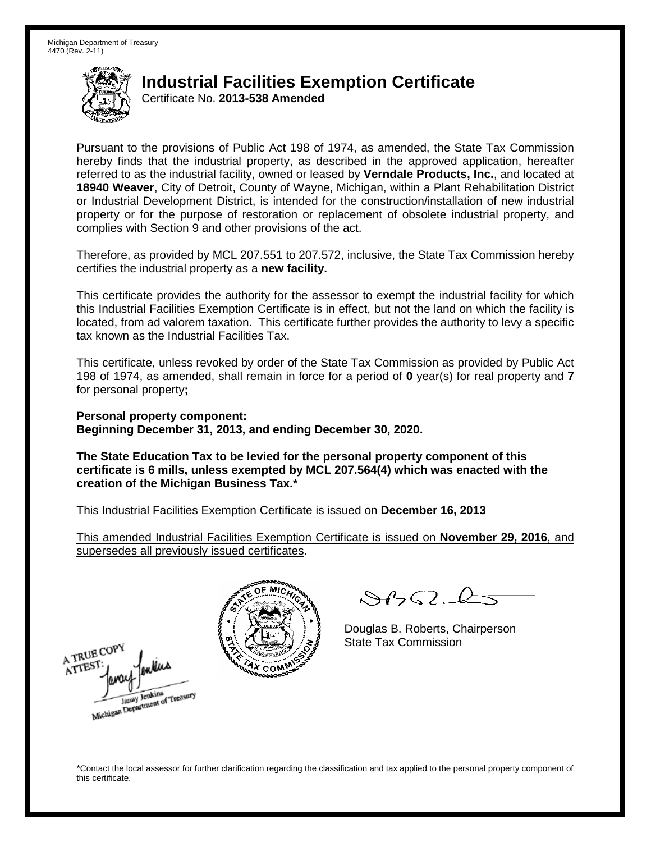Certificate No. **2013-538 Amended**

Pursuant to the provisions of Public Act 198 of 1974, as amended, the State Tax Commission hereby finds that the industrial property, as described in the approved application, hereafter referred to as the industrial facility, owned or leased by **Verndale Products, Inc.**, and located at **18940 Weaver**, City of Detroit, County of Wayne, Michigan, within a Plant Rehabilitation District or Industrial Development District, is intended for the construction/installation of new industrial property or for the purpose of restoration or replacement of obsolete industrial property, and complies with Section 9 and other provisions of the act.

Therefore, as provided by MCL 207.551 to 207.572, inclusive, the State Tax Commission hereby certifies the industrial property as a **new facility.**

This certificate provides the authority for the assessor to exempt the industrial facility for which this Industrial Facilities Exemption Certificate is in effect, but not the land on which the facility is located, from ad valorem taxation. This certificate further provides the authority to levy a specific tax known as the Industrial Facilities Tax.

This certificate, unless revoked by order of the State Tax Commission as provided by Public Act 198 of 1974, as amended, shall remain in force for a period of **0** year(s) for real property and **7** for personal property**;**

**Personal property component: Beginning December 31, 2013, and ending December 30, 2020.**

**The State Education Tax to be levied for the personal property component of this certificate is 6 mills, unless exempted by MCL 207.564(4) which was enacted with the creation of the Michigan Business Tax.\***

This Industrial Facilities Exemption Certificate is issued on **December 16, 2013**

This amended Industrial Facilities Exemption Certificate is issued on **November 29, 2016**, and supersedes all previously issued certificates.

A TRUE COP ATTES Michigan Department of Treasury



 $\mathcal{S}$ 

Douglas B. Roberts, Chairperson State Tax Commission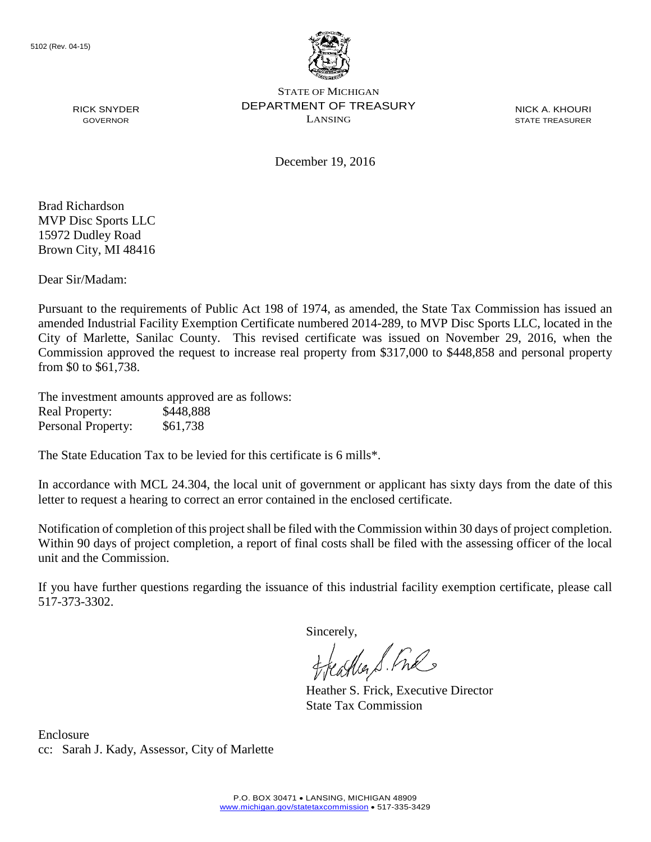

NICK A. KHOURI STATE TREASURER

December 19, 2016

Brad Richardson MVP Disc Sports LLC 15972 Dudley Road Brown City, MI 48416

RICK SNYDER GOVERNOR

Dear Sir/Madam:

Pursuant to the requirements of Public Act 198 of 1974, as amended, the State Tax Commission has issued an amended Industrial Facility Exemption Certificate numbered 2014-289, to MVP Disc Sports LLC, located in the City of Marlette, Sanilac County. This revised certificate was issued on November 29, 2016, when the Commission approved the request to increase real property from \$317,000 to \$448,858 and personal property from \$0 to \$61,738.

The investment amounts approved are as follows: Real Property: \$448,888 Personal Property: \$61,738

The State Education Tax to be levied for this certificate is 6 mills\*.

In accordance with MCL 24.304, the local unit of government or applicant has sixty days from the date of this letter to request a hearing to correct an error contained in the enclosed certificate.

Notification of completion of this project shall be filed with the Commission within 30 days of project completion. Within 90 days of project completion, a report of final costs shall be filed with the assessing officer of the local unit and the Commission.

If you have further questions regarding the issuance of this industrial facility exemption certificate, please call 517-373-3302.

Sincerely,<br>freathers fine

Heather S. Frick, Executive Director State Tax Commission

Enclosure cc: Sarah J. Kady, Assessor, City of Marlette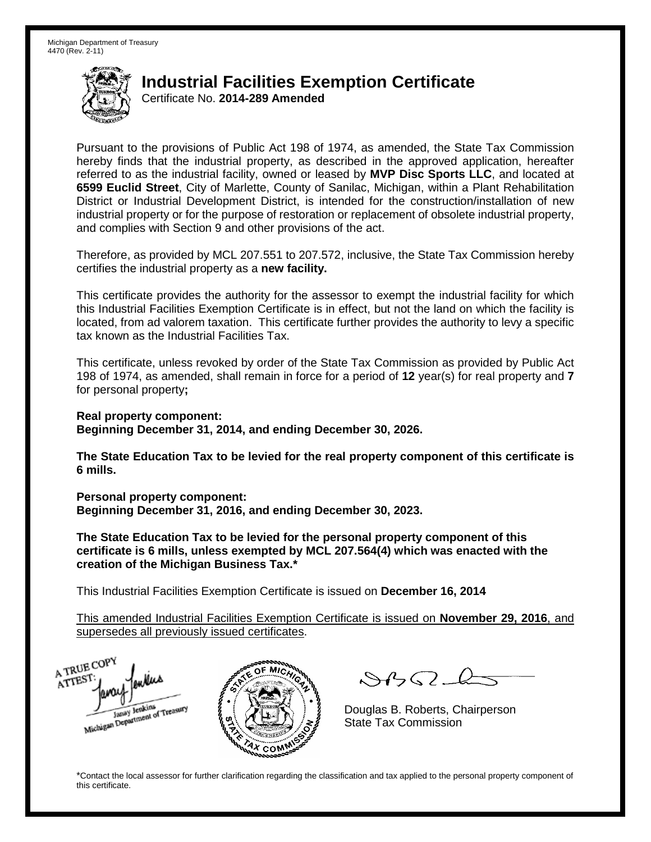Certificate No. **2014-289 Amended**

Pursuant to the provisions of Public Act 198 of 1974, as amended, the State Tax Commission hereby finds that the industrial property, as described in the approved application, hereafter referred to as the industrial facility, owned or leased by **MVP Disc Sports LLC**, and located at **6599 Euclid Street**, City of Marlette, County of Sanilac, Michigan, within a Plant Rehabilitation District or Industrial Development District, is intended for the construction/installation of new industrial property or for the purpose of restoration or replacement of obsolete industrial property, and complies with Section 9 and other provisions of the act.

Therefore, as provided by MCL 207.551 to 207.572, inclusive, the State Tax Commission hereby certifies the industrial property as a **new facility.**

This certificate provides the authority for the assessor to exempt the industrial facility for which this Industrial Facilities Exemption Certificate is in effect, but not the land on which the facility is located, from ad valorem taxation. This certificate further provides the authority to levy a specific tax known as the Industrial Facilities Tax.

This certificate, unless revoked by order of the State Tax Commission as provided by Public Act 198 of 1974, as amended, shall remain in force for a period of **12** year(s) for real property and **7** for personal property**;**

**Real property component:**

**Beginning December 31, 2014, and ending December 30, 2026.**

**The State Education Tax to be levied for the real property component of this certificate is 6 mills.**

**Personal property component: Beginning December 31, 2016, and ending December 30, 2023.**

**The State Education Tax to be levied for the personal property component of this certificate is 6 mills, unless exempted by MCL 207.564(4) which was enacted with the creation of the Michigan Business Tax.\***

This Industrial Facilities Exemption Certificate is issued on **December 16, 2014**

This amended Industrial Facilities Exemption Certificate is issued on **November 29, 2016**, and supersedes all previously issued certificates.

A TRUE COPY ATTEST Michigan Department of Treasury



 $SBSL$ 

Douglas B. Roberts, Chairperson State Tax Commission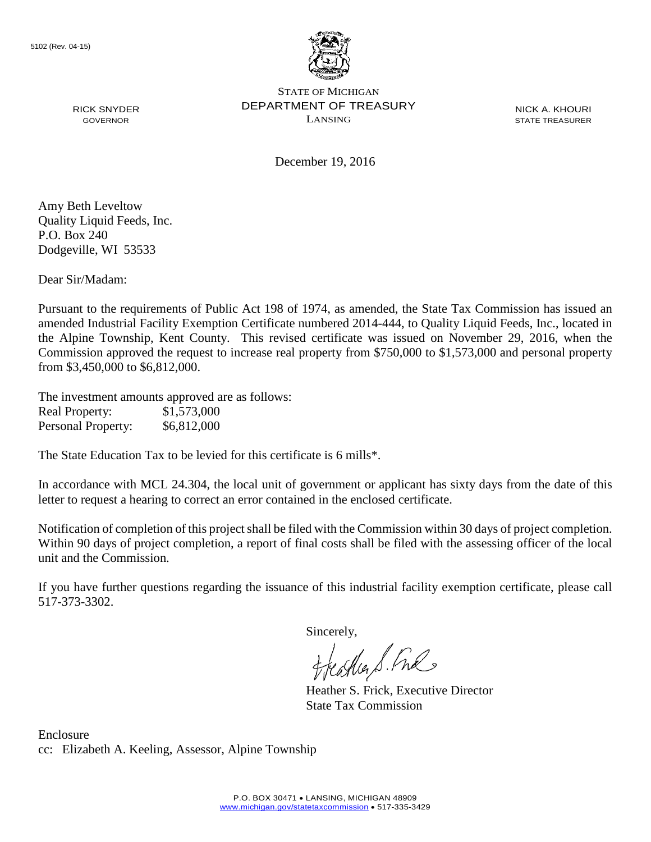

NICK A. KHOURI STATE TREASURER

December 19, 2016

Amy Beth Leveltow Quality Liquid Feeds, Inc. P.O. Box 240 Dodgeville, WI 53533

RICK SNYDER GOVERNOR

Dear Sir/Madam:

Pursuant to the requirements of Public Act 198 of 1974, as amended, the State Tax Commission has issued an amended Industrial Facility Exemption Certificate numbered 2014-444, to Quality Liquid Feeds, Inc., located in the Alpine Township, Kent County. This revised certificate was issued on November 29, 2016, when the Commission approved the request to increase real property from \$750,000 to \$1,573,000 and personal property from \$3,450,000 to \$6,812,000.

The investment amounts approved are as follows: Real Property: \$1,573,000 Personal Property: \$6,812,000

The State Education Tax to be levied for this certificate is 6 mills\*.

In accordance with MCL 24.304, the local unit of government or applicant has sixty days from the date of this letter to request a hearing to correct an error contained in the enclosed certificate.

Notification of completion of this project shall be filed with the Commission within 30 days of project completion. Within 90 days of project completion, a report of final costs shall be filed with the assessing officer of the local unit and the Commission.

If you have further questions regarding the issuance of this industrial facility exemption certificate, please call 517-373-3302.

Sincerely,

asker S. Ful

Heather S. Frick, Executive Director State Tax Commission

Enclosure cc: Elizabeth A. Keeling, Assessor, Alpine Township